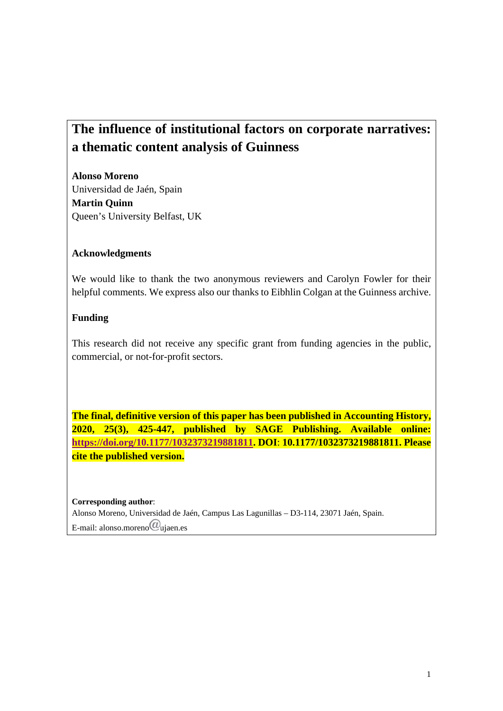# **The influence of institutional factors on corporate narratives: a thematic content analysis of Guinness**

**Alonso Moreno**  Universidad de Jaén, Spain **Martin Quinn** Queen's University Belfast, UK

#### **Acknowledgments**

We would like to thank the two anonymous reviewers and Carolyn Fowler for their helpful comments. We express also our thanks to Eibhlin Colgan at the Guinness archive.

#### **Funding**

This research did not receive any specific grant from funding agencies in the public, commercial, or not-for-profit sectors.

**The final, definitive version of this paper has been published in Accounting History, 2020, 25(3), 425-447, published by SAGE Publishing. Available online: https://doi.org/10.1177/1032373219881811. DOI**: **10.1177/1032373219881811. Please cite the published version.** 

**Corresponding author**: Alonso Moreno, Universidad de Jaén, Campus Las Lagunillas – D3-114, 23071 Jaén, Spain. E-mail: alonso.moreno $\omega$ ujaen.es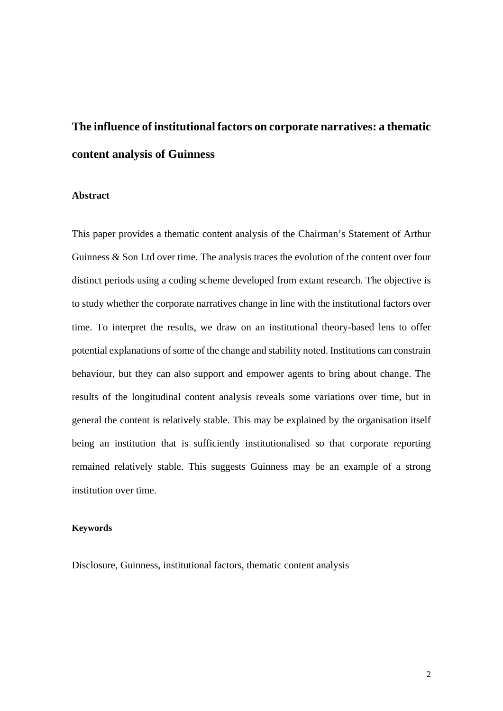# **The influence of institutional factors on corporate narratives: a thematic content analysis of Guinness**

#### **Abstract**

This paper provides a thematic content analysis of the Chairman's Statement of Arthur Guinness & Son Ltd over time. The analysis traces the evolution of the content over four distinct periods using a coding scheme developed from extant research. The objective is to study whether the corporate narratives change in line with the institutional factors over time. To interpret the results, we draw on an institutional theory-based lens to offer potential explanations of some of the change and stability noted. Institutions can constrain behaviour, but they can also support and empower agents to bring about change. The results of the longitudinal content analysis reveals some variations over time, but in general the content is relatively stable. This may be explained by the organisation itself being an institution that is sufficiently institutionalised so that corporate reporting remained relatively stable. This suggests Guinness may be an example of a strong institution over time.

#### **Keywords**

Disclosure, Guinness, institutional factors, thematic content analysis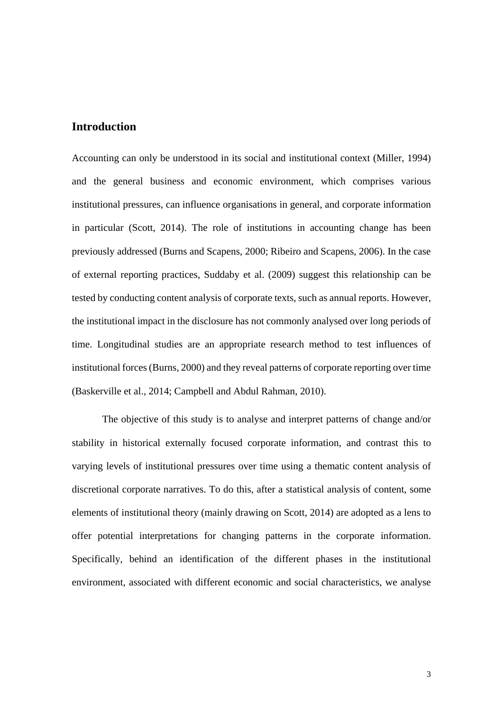#### **Introduction**

Accounting can only be understood in its social and institutional context (Miller, 1994) and the general business and economic environment, which comprises various institutional pressures, can influence organisations in general, and corporate information in particular (Scott, 2014). The role of institutions in accounting change has been previously addressed (Burns and Scapens, 2000; Ribeiro and Scapens, 2006). In the case of external reporting practices, Suddaby et al. (2009) suggest this relationship can be tested by conducting content analysis of corporate texts, such as annual reports. However, the institutional impact in the disclosure has not commonly analysed over long periods of time. Longitudinal studies are an appropriate research method to test influences of institutional forces (Burns, 2000) and they reveal patterns of corporate reporting over time (Baskerville et al., 2014; Campbell and Abdul Rahman, 2010).

The objective of this study is to analyse and interpret patterns of change and/or stability in historical externally focused corporate information, and contrast this to varying levels of institutional pressures over time using a thematic content analysis of discretional corporate narratives. To do this, after a statistical analysis of content, some elements of institutional theory (mainly drawing on Scott, 2014) are adopted as a lens to offer potential interpretations for changing patterns in the corporate information. Specifically, behind an identification of the different phases in the institutional environment, associated with different economic and social characteristics, we analyse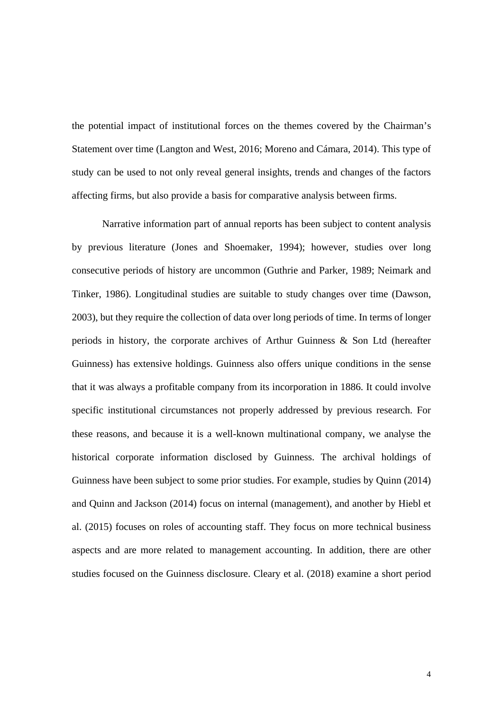the potential impact of institutional forces on the themes covered by the Chairman's Statement over time (Langton and West, 2016; Moreno and Cámara, 2014). This type of study can be used to not only reveal general insights, trends and changes of the factors affecting firms, but also provide a basis for comparative analysis between firms.

Narrative information part of annual reports has been subject to content analysis by previous literature (Jones and Shoemaker, 1994); however, studies over long consecutive periods of history are uncommon (Guthrie and Parker, 1989; Neimark and Tinker, 1986). Longitudinal studies are suitable to study changes over time (Dawson, 2003), but they require the collection of data over long periods of time. In terms of longer periods in history, the corporate archives of Arthur Guinness & Son Ltd (hereafter Guinness) has extensive holdings. Guinness also offers unique conditions in the sense that it was always a profitable company from its incorporation in 1886. It could involve specific institutional circumstances not properly addressed by previous research. For these reasons, and because it is a well-known multinational company, we analyse the historical corporate information disclosed by Guinness. The archival holdings of Guinness have been subject to some prior studies. For example, studies by Quinn (2014) and Quinn and Jackson (2014) focus on internal (management), and another by Hiebl et al. (2015) focuses on roles of accounting staff. They focus on more technical business aspects and are more related to management accounting. In addition, there are other studies focused on the Guinness disclosure. Cleary et al. (2018) examine a short period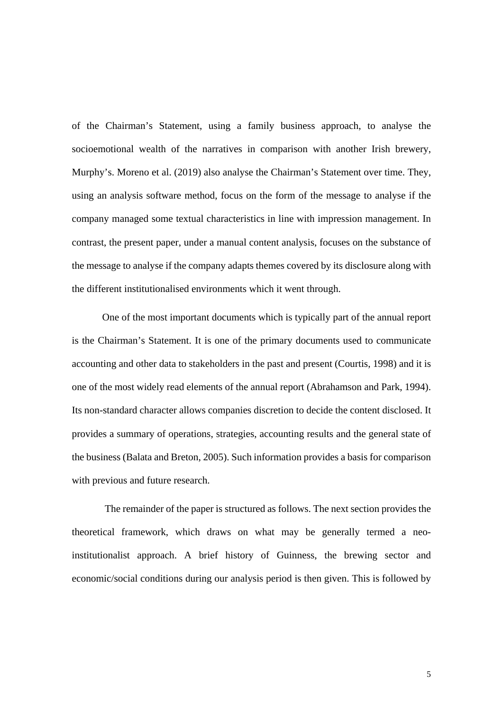of the Chairman's Statement, using a family business approach, to analyse the socioemotional wealth of the narratives in comparison with another Irish brewery, Murphy's. Moreno et al. (2019) also analyse the Chairman's Statement over time. They, using an analysis software method, focus on the form of the message to analyse if the company managed some textual characteristics in line with impression management. In contrast, the present paper, under a manual content analysis, focuses on the substance of the message to analyse if the company adapts themes covered by its disclosure along with the different institutionalised environments which it went through.

One of the most important documents which is typically part of the annual report is the Chairman's Statement. It is one of the primary documents used to communicate accounting and other data to stakeholders in the past and present (Courtis, 1998) and it is one of the most widely read elements of the annual report (Abrahamson and Park, 1994). Its non-standard character allows companies discretion to decide the content disclosed. It provides a summary of operations, strategies, accounting results and the general state of the business (Balata and Breton, 2005). Such information provides a basis for comparison with previous and future research.

 The remainder of the paper is structured as follows. The next section provides the theoretical framework, which draws on what may be generally termed a neoinstitutionalist approach. A brief history of Guinness, the brewing sector and economic/social conditions during our analysis period is then given. This is followed by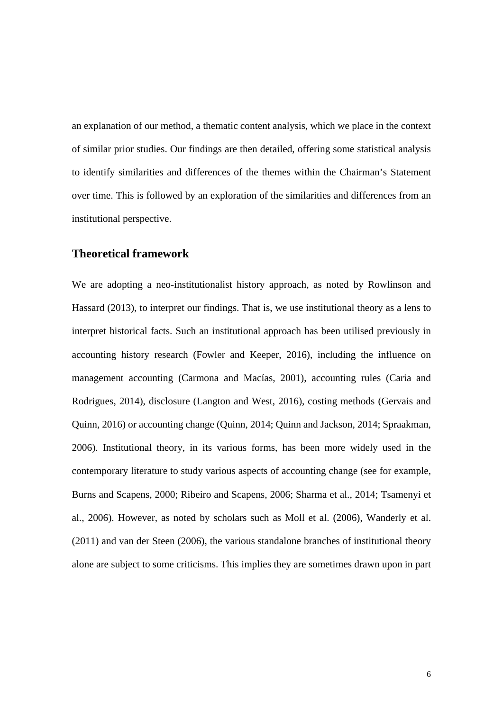an explanation of our method, a thematic content analysis, which we place in the context of similar prior studies. Our findings are then detailed, offering some statistical analysis to identify similarities and differences of the themes within the Chairman's Statement over time. This is followed by an exploration of the similarities and differences from an institutional perspective.

#### **Theoretical framework**

We are adopting a neo-institutionalist history approach, as noted by Rowlinson and Hassard (2013), to interpret our findings. That is, we use institutional theory as a lens to interpret historical facts. Such an institutional approach has been utilised previously in accounting history research (Fowler and Keeper, 2016), including the influence on management accounting (Carmona and Macías, 2001), accounting rules (Caria and Rodrigues, 2014), disclosure (Langton and West, 2016), costing methods (Gervais and Quinn, 2016) or accounting change (Quinn, 2014; Quinn and Jackson, 2014; Spraakman, 2006). Institutional theory, in its various forms, has been more widely used in the contemporary literature to study various aspects of accounting change (see for example, Burns and Scapens, 2000; Ribeiro and Scapens, 2006; Sharma et al., 2014; Tsamenyi et al., 2006). However, as noted by scholars such as Moll et al. (2006), Wanderly et al. (2011) and van der Steen (2006), the various standalone branches of institutional theory alone are subject to some criticisms. This implies they are sometimes drawn upon in part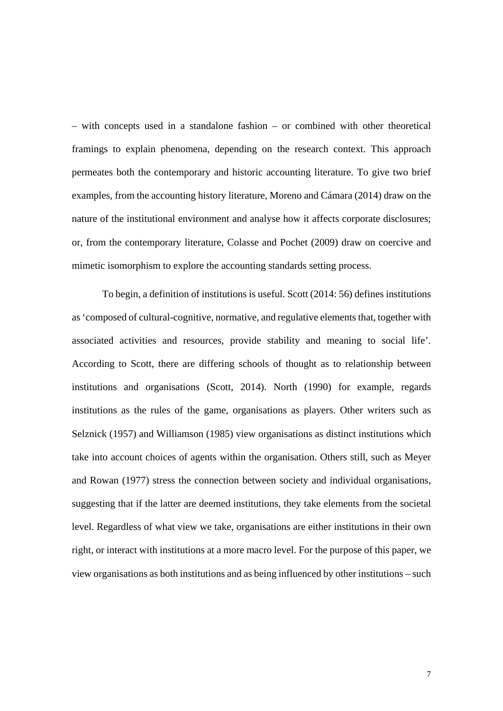– with concepts used in a standalone fashion – or combined with other theoretical framings to explain phenomena, depending on the research context. This approach permeates both the contemporary and historic accounting literature. To give two brief examples, from the accounting history literature, Moreno and Cámara (2014) draw on the nature of the institutional environment and analyse how it affects corporate disclosures; or, from the contemporary literature, Colasse and Pochet (2009) draw on coercive and mimetic isomorphism to explore the accounting standards setting process.

 To begin, a definition of institutions is useful. Scott (2014: 56) defines institutions as 'composed of cultural-cognitive, normative, and regulative elements that, together with associated activities and resources, provide stability and meaning to social life'. According to Scott, there are differing schools of thought as to relationship between institutions and organisations (Scott, 2014). North (1990) for example, regards institutions as the rules of the game, organisations as players. Other writers such as Selznick (1957) and Williamson (1985) view organisations as distinct institutions which take into account choices of agents within the organisation. Others still, such as Meyer and Rowan (1977) stress the connection between society and individual organisations, suggesting that if the latter are deemed institutions, they take elements from the societal level. Regardless of what view we take, organisations are either institutions in their own right, or interact with institutions at a more macro level. For the purpose of this paper, we view organisations as both institutions and as being influenced by other institutions – such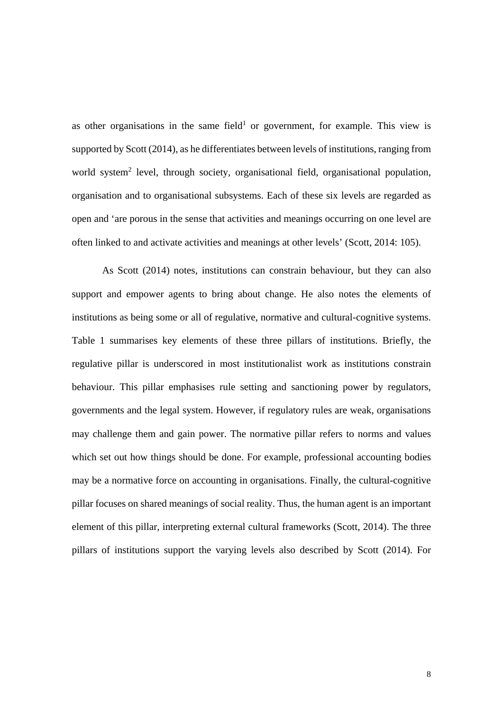as other organisations in the same field<sup>1</sup> or government, for example. This view is supported by Scott (2014), as he differentiates between levels of institutions, ranging from world system<sup>2</sup> level, through society, organisational field, organisational population, organisation and to organisational subsystems. Each of these six levels are regarded as open and 'are porous in the sense that activities and meanings occurring on one level are often linked to and activate activities and meanings at other levels' (Scott, 2014: 105).

As Scott (2014) notes, institutions can constrain behaviour, but they can also support and empower agents to bring about change. He also notes the elements of institutions as being some or all of regulative, normative and cultural-cognitive systems. Table 1 summarises key elements of these three pillars of institutions. Briefly, the regulative pillar is underscored in most institutionalist work as institutions constrain behaviour. This pillar emphasises rule setting and sanctioning power by regulators, governments and the legal system. However, if regulatory rules are weak, organisations may challenge them and gain power. The normative pillar refers to norms and values which set out how things should be done. For example, professional accounting bodies may be a normative force on accounting in organisations. Finally, the cultural-cognitive pillar focuses on shared meanings of social reality. Thus, the human agent is an important element of this pillar, interpreting external cultural frameworks (Scott, 2014). The three pillars of institutions support the varying levels also described by Scott (2014). For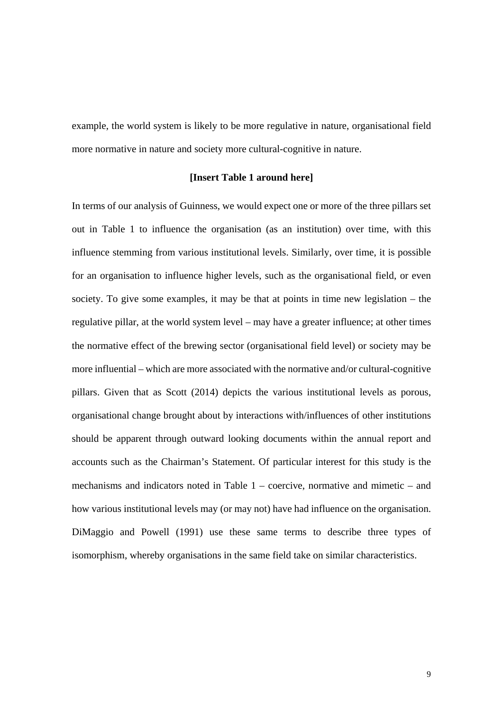example, the world system is likely to be more regulative in nature, organisational field more normative in nature and society more cultural-cognitive in nature.

#### **[Insert Table 1 around here]**

In terms of our analysis of Guinness, we would expect one or more of the three pillars set out in Table 1 to influence the organisation (as an institution) over time, with this influence stemming from various institutional levels. Similarly, over time, it is possible for an organisation to influence higher levels, such as the organisational field, or even society. To give some examples, it may be that at points in time new legislation – the regulative pillar, at the world system level – may have a greater influence; at other times the normative effect of the brewing sector (organisational field level) or society may be more influential – which are more associated with the normative and/or cultural-cognitive pillars. Given that as Scott (2014) depicts the various institutional levels as porous, organisational change brought about by interactions with/influences of other institutions should be apparent through outward looking documents within the annual report and accounts such as the Chairman's Statement. Of particular interest for this study is the mechanisms and indicators noted in Table 1 – coercive, normative and mimetic – and how various institutional levels may (or may not) have had influence on the organisation. DiMaggio and Powell (1991) use these same terms to describe three types of isomorphism, whereby organisations in the same field take on similar characteristics.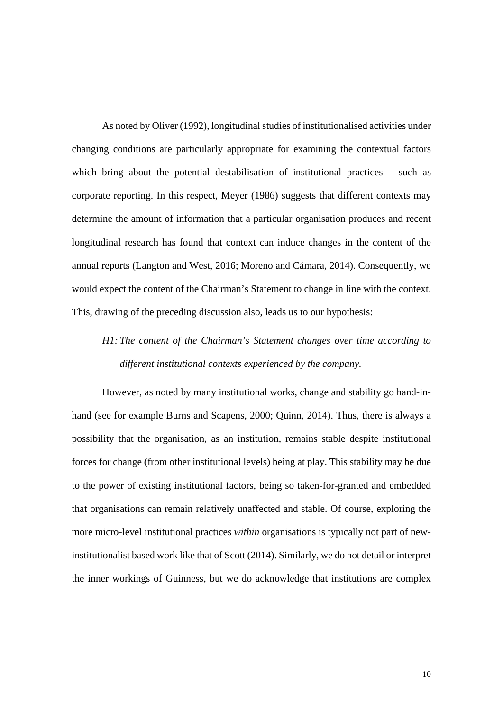As noted by Oliver (1992), longitudinal studies of institutionalised activities under changing conditions are particularly appropriate for examining the contextual factors which bring about the potential destabilisation of institutional practices – such as corporate reporting. In this respect, Meyer (1986) suggests that different contexts may determine the amount of information that a particular organisation produces and recent longitudinal research has found that context can induce changes in the content of the annual reports (Langton and West, 2016; Moreno and Cámara, 2014). Consequently, we would expect the content of the Chairman's Statement to change in line with the context. This, drawing of the preceding discussion also, leads us to our hypothesis:

# *H1: The content of the Chairman's Statement changes over time according to different institutional contexts experienced by the company.*

However, as noted by many institutional works, change and stability go hand-inhand (see for example Burns and Scapens, 2000; Quinn, 2014). Thus, there is always a possibility that the organisation, as an institution, remains stable despite institutional forces for change (from other institutional levels) being at play. This stability may be due to the power of existing institutional factors, being so taken-for-granted and embedded that organisations can remain relatively unaffected and stable. Of course, exploring the more micro-level institutional practices *within* organisations is typically not part of newinstitutionalist based work like that of Scott (2014). Similarly, we do not detail or interpret the inner workings of Guinness, but we do acknowledge that institutions are complex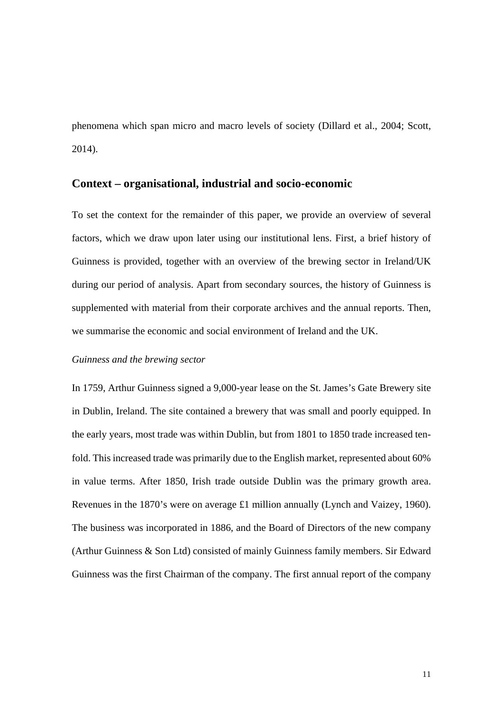phenomena which span micro and macro levels of society (Dillard et al., 2004; Scott, 2014).

#### **Context – organisational, industrial and socio-economic**

To set the context for the remainder of this paper, we provide an overview of several factors, which we draw upon later using our institutional lens. First, a brief history of Guinness is provided, together with an overview of the brewing sector in Ireland/UK during our period of analysis. Apart from secondary sources, the history of Guinness is supplemented with material from their corporate archives and the annual reports. Then, we summarise the economic and social environment of Ireland and the UK.

#### *Guinness and the brewing sector*

In 1759, Arthur Guinness signed a 9,000-year lease on the St. James's Gate Brewery site in Dublin, Ireland. The site contained a brewery that was small and poorly equipped. In the early years, most trade was within Dublin, but from 1801 to 1850 trade increased tenfold. This increased trade was primarily due to the English market, represented about 60% in value terms. After 1850, Irish trade outside Dublin was the primary growth area. Revenues in the 1870's were on average £1 million annually (Lynch and Vaizey, 1960). The business was incorporated in 1886, and the Board of Directors of the new company (Arthur Guinness & Son Ltd) consisted of mainly Guinness family members. Sir Edward Guinness was the first Chairman of the company. The first annual report of the company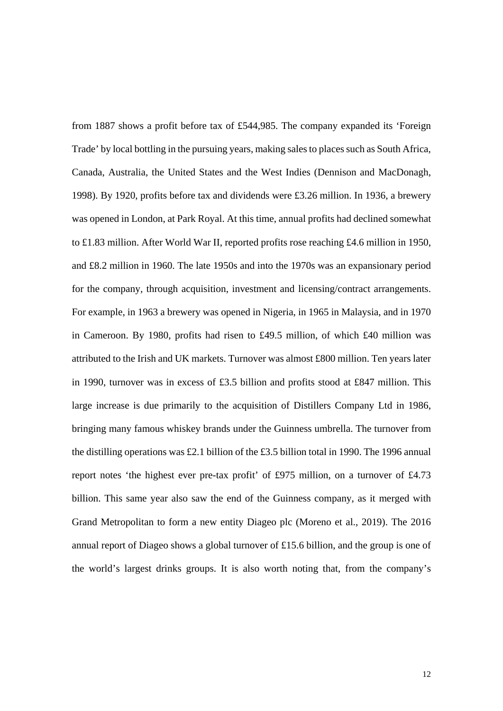from 1887 shows a profit before tax of £544,985. The company expanded its 'Foreign Trade' by local bottling in the pursuing years, making sales to places such as South Africa, Canada, Australia, the United States and the West Indies (Dennison and MacDonagh, 1998). By 1920, profits before tax and dividends were £3.26 million. In 1936, a brewery was opened in London, at Park Royal. At this time, annual profits had declined somewhat to £1.83 million. After World War II, reported profits rose reaching £4.6 million in 1950, and £8.2 million in 1960. The late 1950s and into the 1970s was an expansionary period for the company, through acquisition, investment and licensing/contract arrangements. For example, in 1963 a brewery was opened in Nigeria, in 1965 in Malaysia, and in 1970 in Cameroon. By 1980, profits had risen to £49.5 million, of which £40 million was attributed to the Irish and UK markets. Turnover was almost £800 million. Ten years later in 1990, turnover was in excess of £3.5 billion and profits stood at £847 million. This large increase is due primarily to the acquisition of Distillers Company Ltd in 1986, bringing many famous whiskey brands under the Guinness umbrella. The turnover from the distilling operations was £2.1 billion of the £3.5 billion total in 1990. The 1996 annual report notes 'the highest ever pre-tax profit' of £975 million, on a turnover of £4.73 billion. This same year also saw the end of the Guinness company, as it merged with Grand Metropolitan to form a new entity Diageo plc (Moreno et al., 2019). The 2016 annual report of Diageo shows a global turnover of £15.6 billion, and the group is one of the world's largest drinks groups. It is also worth noting that, from the company's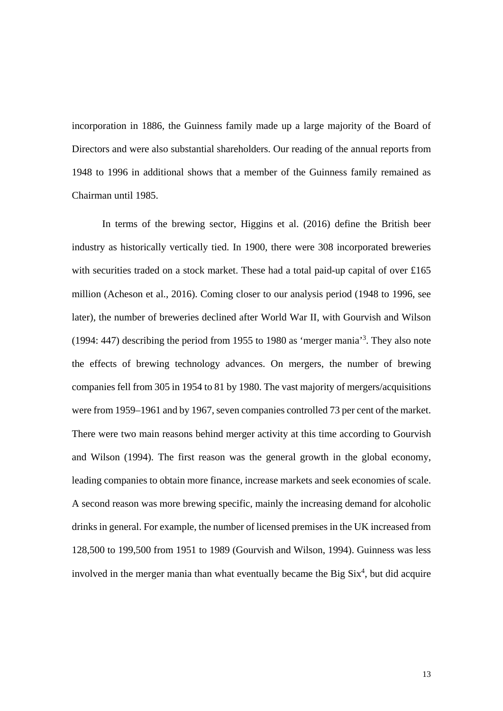incorporation in 1886, the Guinness family made up a large majority of the Board of Directors and were also substantial shareholders. Our reading of the annual reports from 1948 to 1996 in additional shows that a member of the Guinness family remained as Chairman until 1985.

In terms of the brewing sector, Higgins et al. (2016) define the British beer industry as historically vertically tied. In 1900, there were 308 incorporated breweries with securities traded on a stock market. These had a total paid-up capital of over £165 million (Acheson et al., 2016). Coming closer to our analysis period (1948 to 1996, see later), the number of breweries declined after World War II, with Gourvish and Wilson (1994: 447) describing the period from 1955 to 1980 as 'merger mania'3 . They also note the effects of brewing technology advances. On mergers, the number of brewing companies fell from 305 in 1954 to 81 by 1980. The vast majority of mergers/acquisitions were from 1959–1961 and by 1967, seven companies controlled 73 per cent of the market. There were two main reasons behind merger activity at this time according to Gourvish and Wilson (1994). The first reason was the general growth in the global economy, leading companies to obtain more finance, increase markets and seek economies of scale. A second reason was more brewing specific, mainly the increasing demand for alcoholic drinks in general. For example, the number of licensed premises in the UK increased from 128,500 to 199,500 from 1951 to 1989 (Gourvish and Wilson, 1994). Guinness was less involved in the merger mania than what eventually became the Big  $\text{Six}^4$ , but did acquire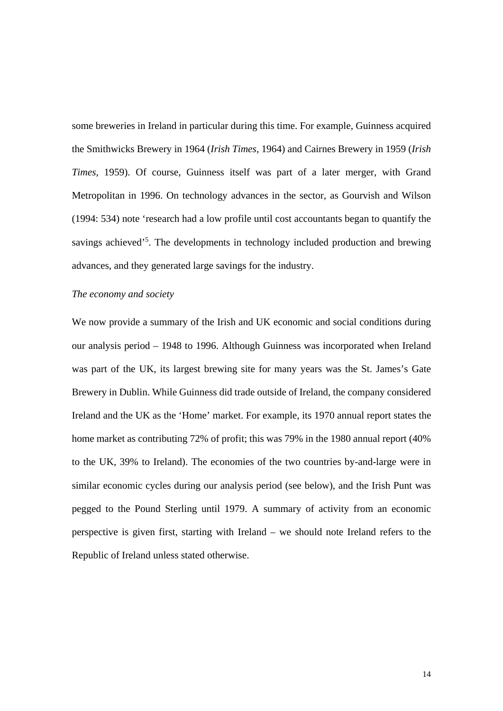some breweries in Ireland in particular during this time. For example, Guinness acquired the Smithwicks Brewery in 1964 (*Irish Times*, 1964) and Cairnes Brewery in 1959 (*Irish Times*, 1959). Of course, Guinness itself was part of a later merger, with Grand Metropolitan in 1996. On technology advances in the sector, as Gourvish and Wilson (1994: 534) note 'research had a low profile until cost accountants began to quantify the savings achieved<sup>55</sup>. The developments in technology included production and brewing advances, and they generated large savings for the industry.

#### *The economy and society*

We now provide a summary of the Irish and UK economic and social conditions during our analysis period – 1948 to 1996. Although Guinness was incorporated when Ireland was part of the UK, its largest brewing site for many years was the St. James's Gate Brewery in Dublin. While Guinness did trade outside of Ireland, the company considered Ireland and the UK as the 'Home' market. For example, its 1970 annual report states the home market as contributing 72% of profit; this was 79% in the 1980 annual report (40% to the UK, 39% to Ireland). The economies of the two countries by-and-large were in similar economic cycles during our analysis period (see below), and the Irish Punt was pegged to the Pound Sterling until 1979. A summary of activity from an economic perspective is given first, starting with Ireland – we should note Ireland refers to the Republic of Ireland unless stated otherwise.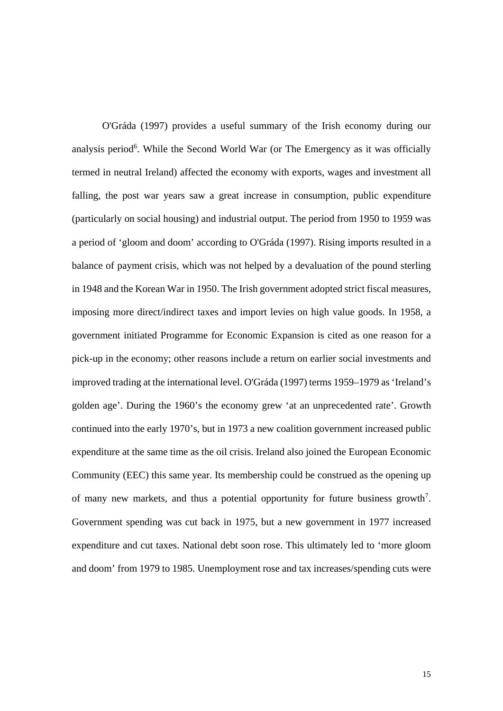O'Gráda (1997) provides a useful summary of the Irish economy during our analysis period<sup>6</sup>. While the Second World War (or The Emergency as it was officially termed in neutral Ireland) affected the economy with exports, wages and investment all falling, the post war years saw a great increase in consumption, public expenditure (particularly on social housing) and industrial output. The period from 1950 to 1959 was a period of 'gloom and doom' according to O'Gráda (1997). Rising imports resulted in a balance of payment crisis, which was not helped by a devaluation of the pound sterling in 1948 and the Korean War in 1950. The Irish government adopted strict fiscal measures, imposing more direct/indirect taxes and import levies on high value goods. In 1958, a government initiated Programme for Economic Expansion is cited as one reason for a pick-up in the economy; other reasons include a return on earlier social investments and improved trading at the international level. O'Gráda (1997) terms 1959–1979 as 'Ireland's golden age'. During the 1960's the economy grew 'at an unprecedented rate'. Growth continued into the early 1970's, but in 1973 a new coalition government increased public expenditure at the same time as the oil crisis. Ireland also joined the European Economic Community (EEC) this same year. Its membership could be construed as the opening up of many new markets, and thus a potential opportunity for future business growth<sup>7</sup>. Government spending was cut back in 1975, but a new government in 1977 increased expenditure and cut taxes. National debt soon rose. This ultimately led to 'more gloom and doom' from 1979 to 1985. Unemployment rose and tax increases/spending cuts were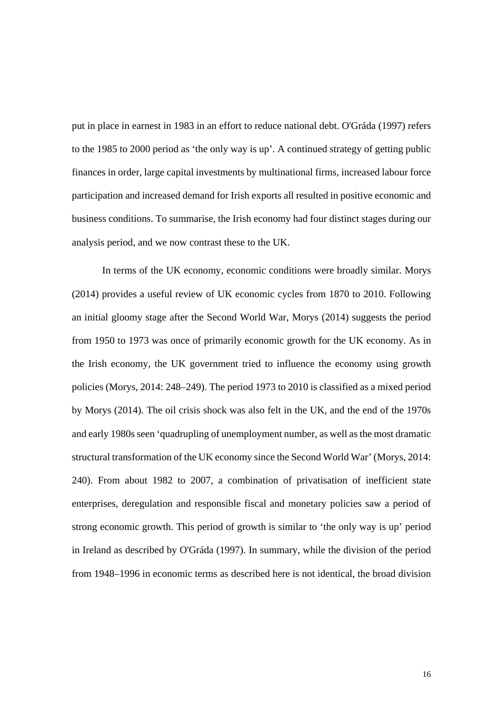put in place in earnest in 1983 in an effort to reduce national debt. O'Gráda (1997) refers to the 1985 to 2000 period as 'the only way is up'. A continued strategy of getting public finances in order, large capital investments by multinational firms, increased labour force participation and increased demand for Irish exports all resulted in positive economic and business conditions. To summarise, the Irish economy had four distinct stages during our analysis period, and we now contrast these to the UK.

In terms of the UK economy, economic conditions were broadly similar. Morys (2014) provides a useful review of UK economic cycles from 1870 to 2010. Following an initial gloomy stage after the Second World War, Morys (2014) suggests the period from 1950 to 1973 was once of primarily economic growth for the UK economy. As in the Irish economy, the UK government tried to influence the economy using growth policies (Morys, 2014: 248–249). The period 1973 to 2010 is classified as a mixed period by Morys (2014). The oil crisis shock was also felt in the UK, and the end of the 1970s and early 1980s seen 'quadrupling of unemployment number, as well as the most dramatic structural transformation of the UK economy since the Second World War' (Morys, 2014: 240). From about 1982 to 2007, a combination of privatisation of inefficient state enterprises, deregulation and responsible fiscal and monetary policies saw a period of strong economic growth. This period of growth is similar to 'the only way is up' period in Ireland as described by O'Gráda (1997). In summary, while the division of the period from 1948–1996 in economic terms as described here is not identical, the broad division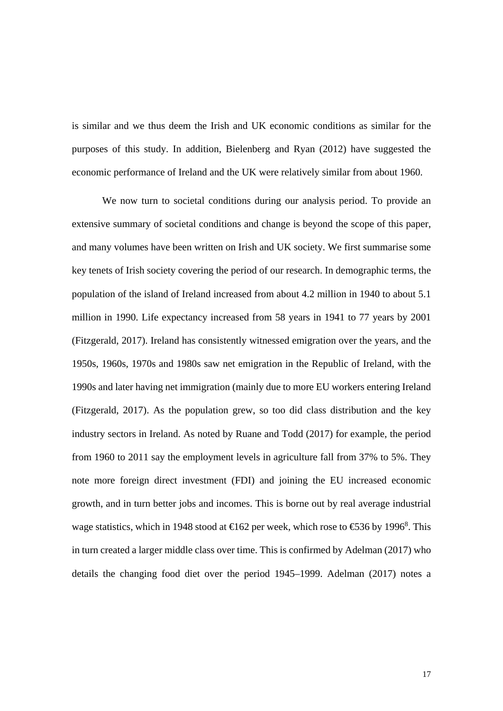is similar and we thus deem the Irish and UK economic conditions as similar for the purposes of this study. In addition, Bielenberg and Ryan (2012) have suggested the economic performance of Ireland and the UK were relatively similar from about 1960.

We now turn to societal conditions during our analysis period. To provide an extensive summary of societal conditions and change is beyond the scope of this paper, and many volumes have been written on Irish and UK society. We first summarise some key tenets of Irish society covering the period of our research. In demographic terms, the population of the island of Ireland increased from about 4.2 million in 1940 to about 5.1 million in 1990. Life expectancy increased from 58 years in 1941 to 77 years by 2001 (Fitzgerald, 2017). Ireland has consistently witnessed emigration over the years, and the 1950s, 1960s, 1970s and 1980s saw net emigration in the Republic of Ireland, with the 1990s and later having net immigration (mainly due to more EU workers entering Ireland (Fitzgerald, 2017). As the population grew, so too did class distribution and the key industry sectors in Ireland. As noted by Ruane and Todd (2017) for example, the period from 1960 to 2011 say the employment levels in agriculture fall from 37% to 5%. They note more foreign direct investment (FDI) and joining the EU increased economic growth, and in turn better jobs and incomes. This is borne out by real average industrial wage statistics, which in 1948 stood at  $\in$  62 per week, which rose to  $\in$  36 by 1996<sup>8</sup>. This in turn created a larger middle class over time. This is confirmed by Adelman (2017) who details the changing food diet over the period 1945–1999. Adelman (2017) notes a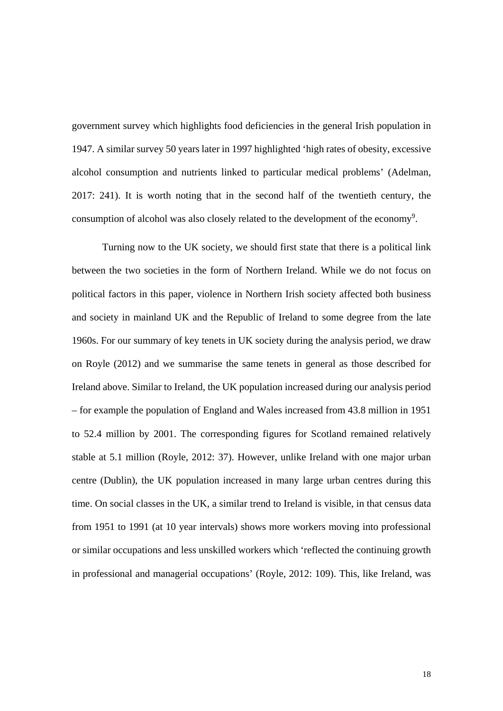government survey which highlights food deficiencies in the general Irish population in 1947. A similar survey 50 years later in 1997 highlighted 'high rates of obesity, excessive alcohol consumption and nutrients linked to particular medical problems' (Adelman, 2017: 241). It is worth noting that in the second half of the twentieth century, the consumption of alcohol was also closely related to the development of the economy<sup>9</sup>.

Turning now to the UK society, we should first state that there is a political link between the two societies in the form of Northern Ireland. While we do not focus on political factors in this paper, violence in Northern Irish society affected both business and society in mainland UK and the Republic of Ireland to some degree from the late 1960s. For our summary of key tenets in UK society during the analysis period, we draw on Royle (2012) and we summarise the same tenets in general as those described for Ireland above. Similar to Ireland, the UK population increased during our analysis period – for example the population of England and Wales increased from 43.8 million in 1951 to 52.4 million by 2001. The corresponding figures for Scotland remained relatively stable at 5.1 million (Royle, 2012: 37). However, unlike Ireland with one major urban centre (Dublin), the UK population increased in many large urban centres during this time. On social classes in the UK, a similar trend to Ireland is visible, in that census data from 1951 to 1991 (at 10 year intervals) shows more workers moving into professional or similar occupations and less unskilled workers which 'reflected the continuing growth in professional and managerial occupations' (Royle, 2012: 109). This, like Ireland, was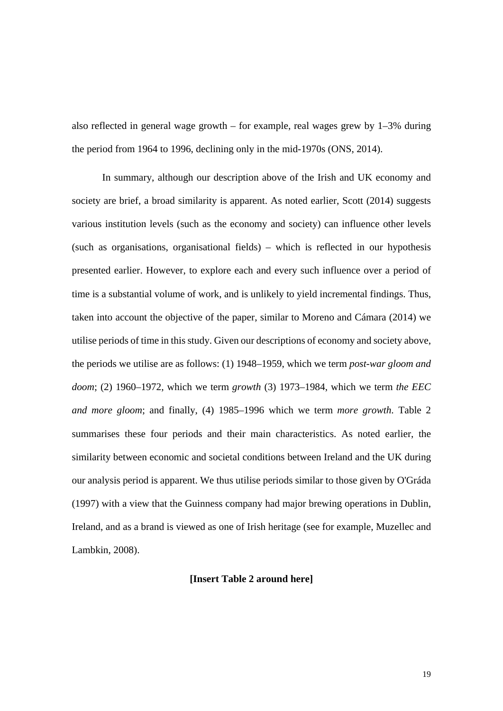also reflected in general wage growth – for example, real wages grew by  $1-3\%$  during the period from 1964 to 1996, declining only in the mid-1970s (ONS, 2014).

In summary, although our description above of the Irish and UK economy and society are brief, a broad similarity is apparent. As noted earlier, Scott (2014) suggests various institution levels (such as the economy and society) can influence other levels (such as organisations, organisational fields) – which is reflected in our hypothesis presented earlier. However, to explore each and every such influence over a period of time is a substantial volume of work, and is unlikely to yield incremental findings. Thus, taken into account the objective of the paper, similar to Moreno and Cámara (2014) we utilise periods of time in this study. Given our descriptions of economy and society above, the periods we utilise are as follows: (1) 1948–1959, which we term *post-war gloom and doom*; (2) 1960–1972, which we term *growth* (3) 1973–1984, which we term *the EEC and more gloom*; and finally, (4) 1985–1996 which we term *more growth*. Table 2 summarises these four periods and their main characteristics. As noted earlier, the similarity between economic and societal conditions between Ireland and the UK during our analysis period is apparent. We thus utilise periods similar to those given by O'Gráda (1997) with a view that the Guinness company had major brewing operations in Dublin, Ireland, and as a brand is viewed as one of Irish heritage (see for example, Muzellec and Lambkin, 2008).

#### **[Insert Table 2 around here]**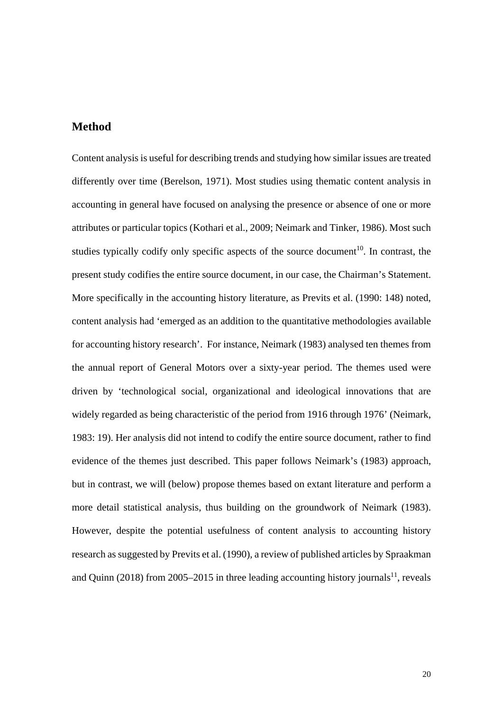#### **Method**

Content analysis is useful for describing trends and studying how similar issues are treated differently over time (Berelson, 1971). Most studies using thematic content analysis in accounting in general have focused on analysing the presence or absence of one or more attributes or particular topics (Kothari et al., 2009; Neimark and Tinker, 1986). Most such studies typically codify only specific aspects of the source document<sup>10</sup>. In contrast, the present study codifies the entire source document, in our case, the Chairman's Statement. More specifically in the accounting history literature, as Previts et al. (1990: 148) noted, content analysis had 'emerged as an addition to the quantitative methodologies available for accounting history research'. For instance, Neimark (1983) analysed ten themes from the annual report of General Motors over a sixty-year period. The themes used were driven by 'technological social, organizational and ideological innovations that are widely regarded as being characteristic of the period from 1916 through 1976' (Neimark, 1983: 19). Her analysis did not intend to codify the entire source document, rather to find evidence of the themes just described. This paper follows Neimark's (1983) approach, but in contrast, we will (below) propose themes based on extant literature and perform a more detail statistical analysis, thus building on the groundwork of Neimark (1983). However, despite the potential usefulness of content analysis to accounting history research as suggested by Previts et al. (1990), a review of published articles by Spraakman and Quinn (2018) from 2005–2015 in three leading accounting history journals<sup>11</sup>, reveals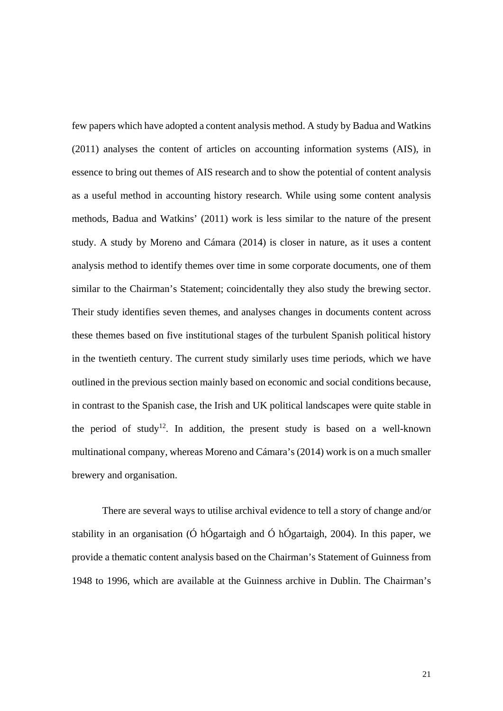few papers which have adopted a content analysis method. A study by Badua and Watkins (2011) analyses the content of articles on accounting information systems (AIS), in essence to bring out themes of AIS research and to show the potential of content analysis as a useful method in accounting history research. While using some content analysis methods, Badua and Watkins' (2011) work is less similar to the nature of the present study. A study by Moreno and Cámara (2014) is closer in nature, as it uses a content analysis method to identify themes over time in some corporate documents, one of them similar to the Chairman's Statement; coincidentally they also study the brewing sector. Their study identifies seven themes, and analyses changes in documents content across these themes based on five institutional stages of the turbulent Spanish political history in the twentieth century. The current study similarly uses time periods, which we have outlined in the previous section mainly based on economic and social conditions because, in contrast to the Spanish case, the Irish and UK political landscapes were quite stable in the period of study<sup>12</sup>. In addition, the present study is based on a well-known multinational company, whereas Moreno and Cámara's (2014) work is on a much smaller brewery and organisation.

There are several ways to utilise archival evidence to tell a story of change and/or stability in an organisation (Ó hÓgartaigh and Ó hÓgartaigh, 2004). In this paper, we provide a thematic content analysis based on the Chairman's Statement of Guinness from 1948 to 1996, which are available at the Guinness archive in Dublin. The Chairman's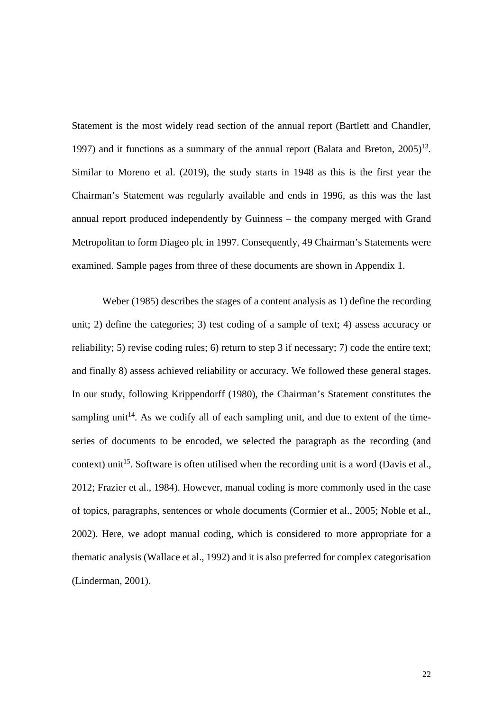Statement is the most widely read section of the annual report (Bartlett and Chandler, 1997) and it functions as a summary of the annual report (Balata and Breton,  $2005$ )<sup>13</sup>. Similar to Moreno et al. (2019), the study starts in 1948 as this is the first year the Chairman's Statement was regularly available and ends in 1996, as this was the last annual report produced independently by Guinness – the company merged with Grand Metropolitan to form Diageo plc in 1997. Consequently, 49 Chairman's Statements were examined. Sample pages from three of these documents are shown in Appendix 1.

Weber (1985) describes the stages of a content analysis as 1) define the recording unit; 2) define the categories; 3) test coding of a sample of text; 4) assess accuracy or reliability; 5) revise coding rules; 6) return to step 3 if necessary; 7) code the entire text; and finally 8) assess achieved reliability or accuracy. We followed these general stages. In our study, following Krippendorff (1980), the Chairman's Statement constitutes the sampling unit<sup>14</sup>. As we codify all of each sampling unit, and due to extent of the timeseries of documents to be encoded, we selected the paragraph as the recording (and context) unit<sup>15</sup>. Software is often utilised when the recording unit is a word (Davis et al., 2012; Frazier et al., 1984). However, manual coding is more commonly used in the case of topics, paragraphs, sentences or whole documents (Cormier et al., 2005; Noble et al., 2002). Here, we adopt manual coding, which is considered to more appropriate for a thematic analysis (Wallace et al., 1992) and it is also preferred for complex categorisation (Linderman, 2001).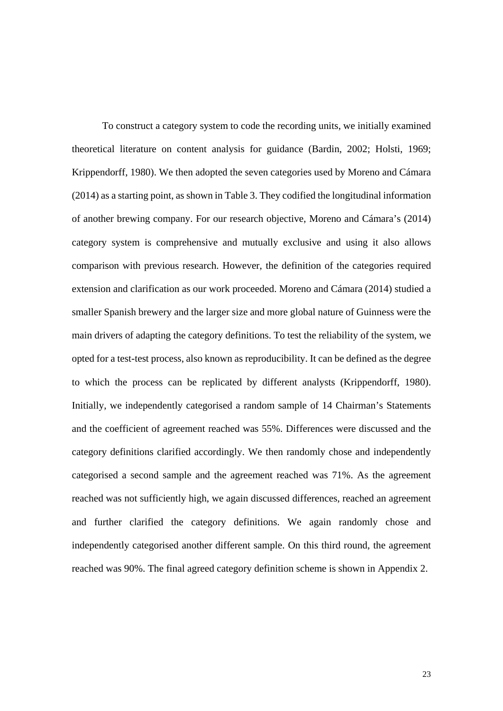To construct a category system to code the recording units, we initially examined theoretical literature on content analysis for guidance (Bardin, 2002; Holsti, 1969; Krippendorff, 1980). We then adopted the seven categories used by Moreno and Cámara (2014) as a starting point, as shown in Table 3. They codified the longitudinal information of another brewing company. For our research objective, Moreno and Cámara's (2014) category system is comprehensive and mutually exclusive and using it also allows comparison with previous research. However, the definition of the categories required extension and clarification as our work proceeded. Moreno and Cámara (2014) studied a smaller Spanish brewery and the larger size and more global nature of Guinness were the main drivers of adapting the category definitions. To test the reliability of the system, we opted for a test-test process, also known as reproducibility. It can be defined as the degree to which the process can be replicated by different analysts (Krippendorff, 1980). Initially, we independently categorised a random sample of 14 Chairman's Statements and the coefficient of agreement reached was 55%. Differences were discussed and the category definitions clarified accordingly. We then randomly chose and independently categorised a second sample and the agreement reached was 71%. As the agreement reached was not sufficiently high, we again discussed differences, reached an agreement and further clarified the category definitions. We again randomly chose and independently categorised another different sample. On this third round, the agreement reached was 90%. The final agreed category definition scheme is shown in Appendix 2.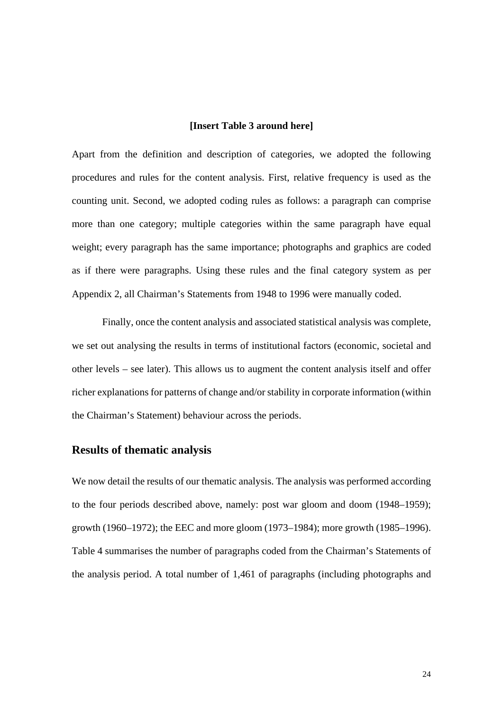#### **[Insert Table 3 around here]**

Apart from the definition and description of categories, we adopted the following procedures and rules for the content analysis. First, relative frequency is used as the counting unit. Second, we adopted coding rules as follows: a paragraph can comprise more than one category; multiple categories within the same paragraph have equal weight; every paragraph has the same importance; photographs and graphics are coded as if there were paragraphs. Using these rules and the final category system as per Appendix 2, all Chairman's Statements from 1948 to 1996 were manually coded.

Finally, once the content analysis and associated statistical analysis was complete, we set out analysing the results in terms of institutional factors (economic, societal and other levels – see later). This allows us to augment the content analysis itself and offer richer explanations for patterns of change and/or stability in corporate information (within the Chairman's Statement) behaviour across the periods.

#### **Results of thematic analysis**

We now detail the results of our thematic analysis. The analysis was performed according to the four periods described above, namely: post war gloom and doom (1948–1959); growth (1960–1972); the EEC and more gloom (1973–1984); more growth (1985–1996). Table 4 summarises the number of paragraphs coded from the Chairman's Statements of the analysis period. A total number of 1,461 of paragraphs (including photographs and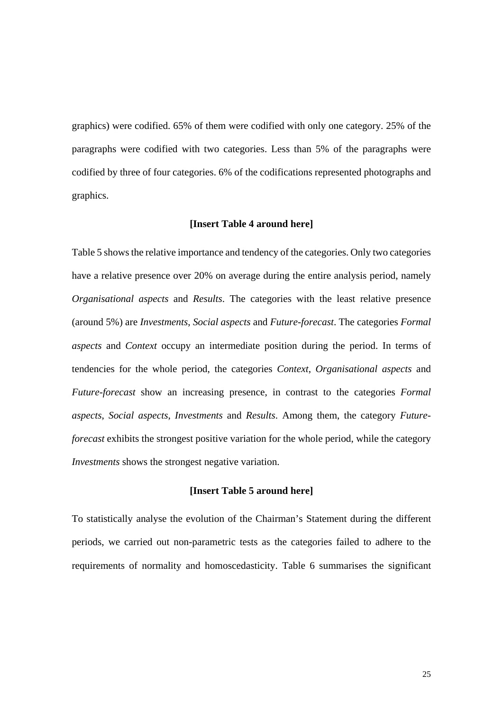graphics) were codified. 65% of them were codified with only one category. 25% of the paragraphs were codified with two categories. Less than 5% of the paragraphs were codified by three of four categories. 6% of the codifications represented photographs and graphics.

#### **[Insert Table 4 around here]**

Table 5 shows the relative importance and tendency of the categories. Only two categories have a relative presence over 20% on average during the entire analysis period, namely *Organisational aspects* and *Results*. The categories with the least relative presence (around 5%) are *Investments*, *Social aspects* and *Future-forecast*. The categories *Formal aspects* and *Context* occupy an intermediate position during the period. In terms of tendencies for the whole period, the categories *Context*, *Organisational aspects* and *Future-forecast* show an increasing presence, in contrast to the categories *Formal aspects*, *Social aspects*, *Investments* and *Results*. Among them, the category *Futureforecast* exhibits the strongest positive variation for the whole period, while the category *Investments* shows the strongest negative variation.

#### **[Insert Table 5 around here]**

To statistically analyse the evolution of the Chairman's Statement during the different periods, we carried out non-parametric tests as the categories failed to adhere to the requirements of normality and homoscedasticity. Table 6 summarises the significant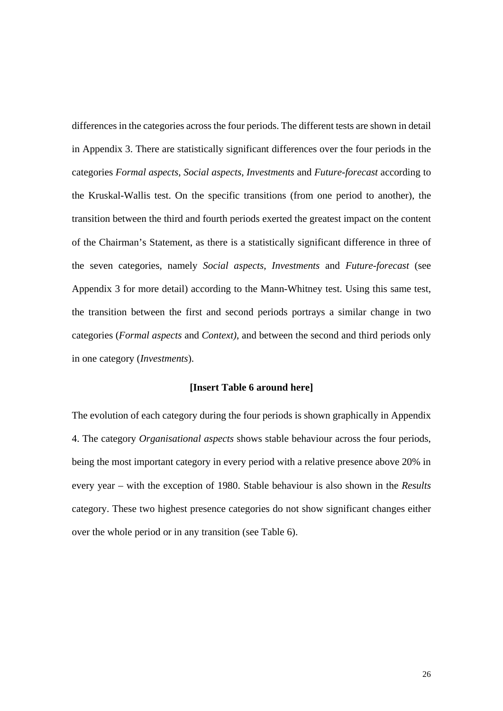differences in the categories across the four periods. The different tests are shown in detail in Appendix 3. There are statistically significant differences over the four periods in the categories *Formal aspects*, *Social aspects*, *Investments* and *Future-forecast* according to the Kruskal-Wallis test. On the specific transitions (from one period to another), the transition between the third and fourth periods exerted the greatest impact on the content of the Chairman's Statement, as there is a statistically significant difference in three of the seven categories, namely *Social aspects*, *Investments* and *Future-forecast* (see Appendix 3 for more detail) according to the Mann-Whitney test. Using this same test, the transition between the first and second periods portrays a similar change in two categories (*Formal aspects* and *Context)*, and between the second and third periods only in one category (*Investments*).

#### **[Insert Table 6 around here]**

The evolution of each category during the four periods is shown graphically in Appendix 4. The category *Organisational aspects* shows stable behaviour across the four periods, being the most important category in every period with a relative presence above 20% in every year – with the exception of 1980. Stable behaviour is also shown in the *Results*  category. These two highest presence categories do not show significant changes either over the whole period or in any transition (see Table 6).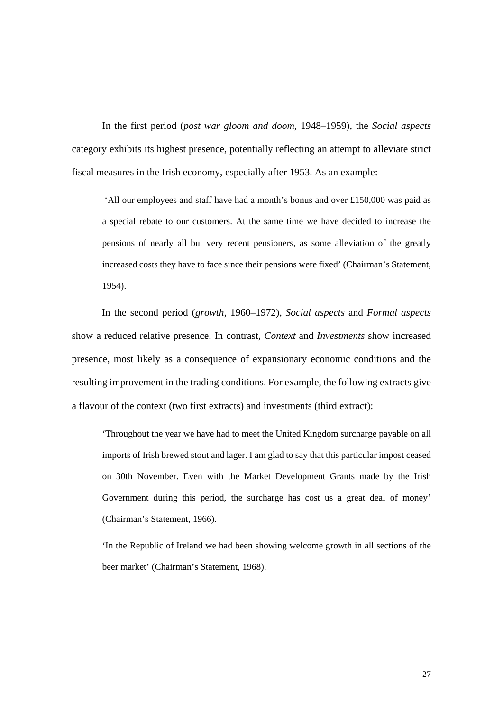In the first period (*post war gloom and doom*, 1948–1959), the *Social aspects* category exhibits its highest presence, potentially reflecting an attempt to alleviate strict fiscal measures in the Irish economy, especially after 1953. As an example:

 'All our employees and staff have had a month's bonus and over £150,000 was paid as a special rebate to our customers. At the same time we have decided to increase the pensions of nearly all but very recent pensioners, as some alleviation of the greatly increased costs they have to face since their pensions were fixed' (Chairman's Statement, 1954).

In the second period (*growth,* 1960–1972), *Social aspects* and *Formal aspects* show a reduced relative presence. In contrast, *Context* and *Investments* show increased presence, most likely as a consequence of expansionary economic conditions and the resulting improvement in the trading conditions. For example, the following extracts give a flavour of the context (two first extracts) and investments (third extract):

'Throughout the year we have had to meet the United Kingdom surcharge payable on all imports of Irish brewed stout and lager. I am glad to say that this particular impost ceased on 30th November. Even with the Market Development Grants made by the Irish Government during this period, the surcharge has cost us a great deal of money' (Chairman's Statement, 1966).

'In the Republic of Ireland we had been showing welcome growth in all sections of the beer market' (Chairman's Statement, 1968).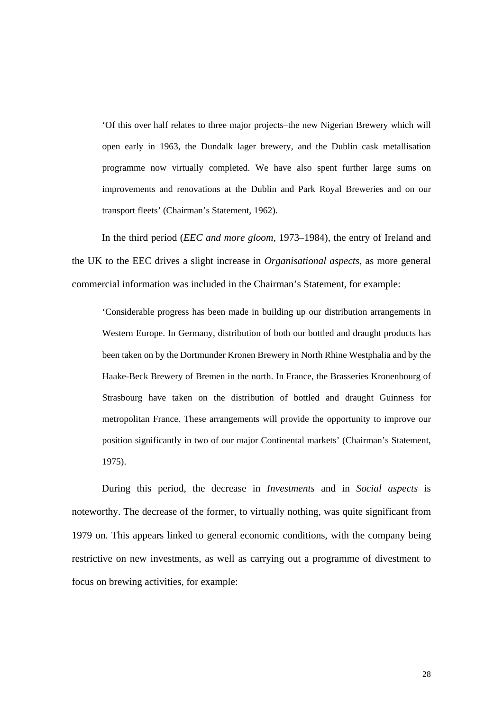'Of this over half relates to three major projects–the new Nigerian Brewery which will open early in 1963, the Dundalk lager brewery, and the Dublin cask metallisation programme now virtually completed. We have also spent further large sums on improvements and renovations at the Dublin and Park Royal Breweries and on our transport fleets' (Chairman's Statement, 1962).

In the third period (*EEC and more gloom*, 1973–1984), the entry of Ireland and the UK to the EEC drives a slight increase in *Organisational aspects*, as more general commercial information was included in the Chairman's Statement, for example:

'Considerable progress has been made in building up our distribution arrangements in Western Europe. In Germany, distribution of both our bottled and draught products has been taken on by the Dortmunder Kronen Brewery in North Rhine Westphalia and by the Haake-Beck Brewery of Bremen in the north. In France, the Brasseries Kronenbourg of Strasbourg have taken on the distribution of bottled and draught Guinness for metropolitan France. These arrangements will provide the opportunity to improve our position significantly in two of our major Continental markets' (Chairman's Statement, 1975).

During this period, the decrease in *Investments* and in *Social aspects* is noteworthy. The decrease of the former, to virtually nothing, was quite significant from 1979 on. This appears linked to general economic conditions, with the company being restrictive on new investments, as well as carrying out a programme of divestment to focus on brewing activities, for example: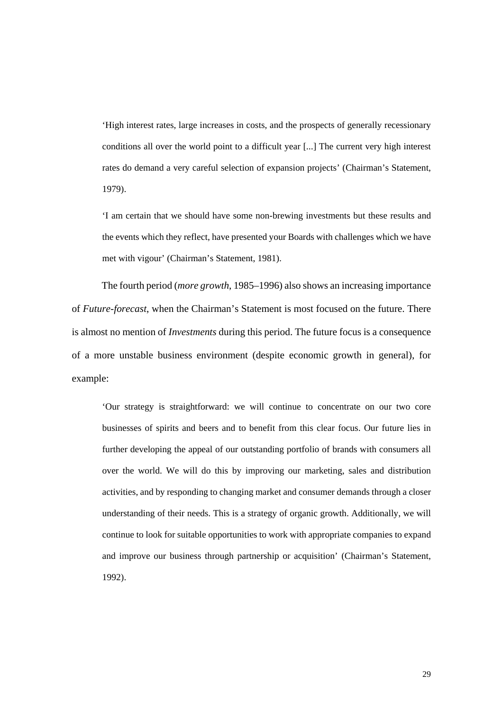'High interest rates, large increases in costs, and the prospects of generally recessionary conditions all over the world point to a difficult year [...] The current very high interest rates do demand a very careful selection of expansion projects' (Chairman's Statement, 1979).

'I am certain that we should have some non-brewing investments but these results and the events which they reflect, have presented your Boards with challenges which we have met with vigour' (Chairman's Statement, 1981).

The fourth period (*more growth*, 1985–1996) also shows an increasing importance of *Future-forecast*, when the Chairman's Statement is most focused on the future. There is almost no mention of *Investments* during this period. The future focus is a consequence of a more unstable business environment (despite economic growth in general), for example:

'Our strategy is straightforward: we will continue to concentrate on our two core businesses of spirits and beers and to benefit from this clear focus. Our future lies in further developing the appeal of our outstanding portfolio of brands with consumers all over the world. We will do this by improving our marketing, sales and distribution activities, and by responding to changing market and consumer demands through a closer understanding of their needs. This is a strategy of organic growth. Additionally, we will continue to look for suitable opportunities to work with appropriate companies to expand and improve our business through partnership or acquisition' (Chairman's Statement, 1992).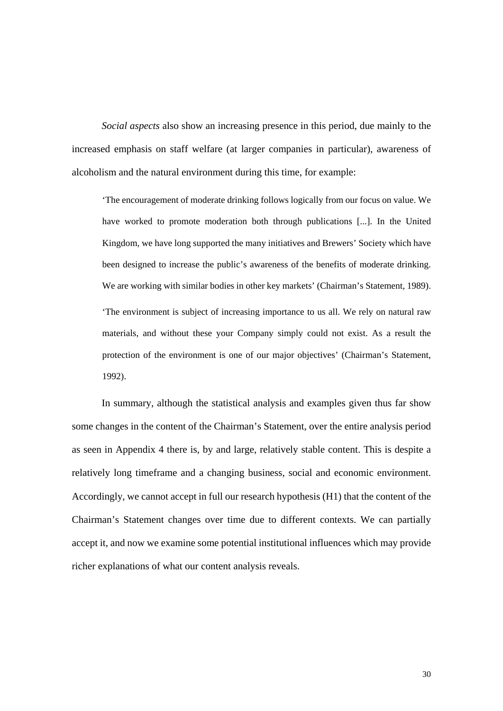*Social aspects* also show an increasing presence in this period, due mainly to the increased emphasis on staff welfare (at larger companies in particular), awareness of alcoholism and the natural environment during this time, for example:

'The encouragement of moderate drinking follows logically from our focus on value. We have worked to promote moderation both through publications [...]. In the United Kingdom, we have long supported the many initiatives and Brewers' Society which have been designed to increase the public's awareness of the benefits of moderate drinking. We are working with similar bodies in other key markets' (Chairman's Statement, 1989). 'The environment is subject of increasing importance to us all. We rely on natural raw materials, and without these your Company simply could not exist. As a result the protection of the environment is one of our major objectives' (Chairman's Statement, 1992).

In summary, although the statistical analysis and examples given thus far show some changes in the content of the Chairman's Statement, over the entire analysis period as seen in Appendix 4 there is, by and large, relatively stable content. This is despite a relatively long timeframe and a changing business, social and economic environment. Accordingly, we cannot accept in full our research hypothesis (H1) that the content of the Chairman's Statement changes over time due to different contexts. We can partially accept it, and now we examine some potential institutional influences which may provide richer explanations of what our content analysis reveals.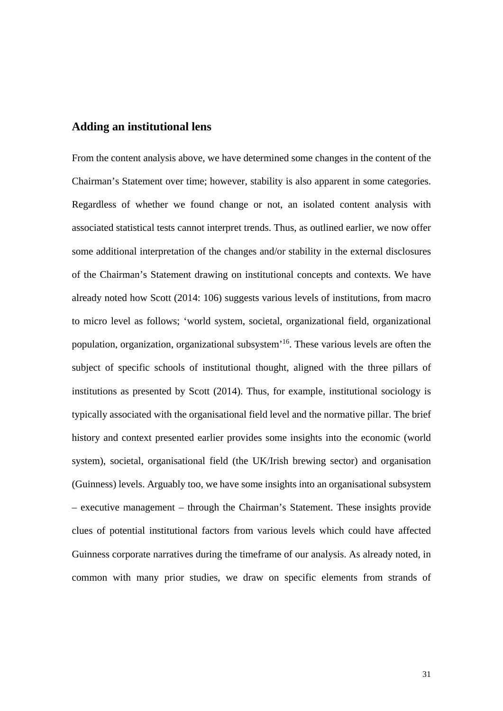#### **Adding an institutional lens**

From the content analysis above, we have determined some changes in the content of the Chairman's Statement over time; however, stability is also apparent in some categories. Regardless of whether we found change or not, an isolated content analysis with associated statistical tests cannot interpret trends. Thus, as outlined earlier, we now offer some additional interpretation of the changes and/or stability in the external disclosures of the Chairman's Statement drawing on institutional concepts and contexts. We have already noted how Scott (2014: 106) suggests various levels of institutions, from macro to micro level as follows; 'world system, societal, organizational field, organizational population, organization, organizational subsystem'16. These various levels are often the subject of specific schools of institutional thought, aligned with the three pillars of institutions as presented by Scott (2014). Thus, for example, institutional sociology is typically associated with the organisational field level and the normative pillar. The brief history and context presented earlier provides some insights into the economic (world system), societal, organisational field (the UK/Irish brewing sector) and organisation (Guinness) levels. Arguably too, we have some insights into an organisational subsystem – executive management – through the Chairman's Statement. These insights provide clues of potential institutional factors from various levels which could have affected Guinness corporate narratives during the timeframe of our analysis. As already noted, in common with many prior studies, we draw on specific elements from strands of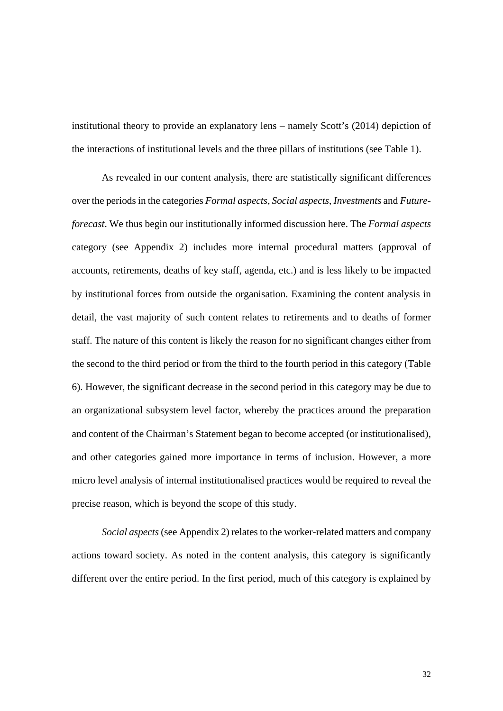institutional theory to provide an explanatory lens – namely Scott's (2014) depiction of the interactions of institutional levels and the three pillars of institutions (see Table 1).

As revealed in our content analysis, there are statistically significant differences over the periods in the categories *Formal aspects*, *Social aspects*, *Investments* and *Futureforecast*. We thus begin our institutionally informed discussion here. The *Formal aspects*  category (see Appendix 2) includes more internal procedural matters (approval of accounts, retirements, deaths of key staff, agenda, etc.) and is less likely to be impacted by institutional forces from outside the organisation. Examining the content analysis in detail, the vast majority of such content relates to retirements and to deaths of former staff. The nature of this content is likely the reason for no significant changes either from the second to the third period or from the third to the fourth period in this category (Table 6). However, the significant decrease in the second period in this category may be due to an organizational subsystem level factor, whereby the practices around the preparation and content of the Chairman's Statement began to become accepted (or institutionalised), and other categories gained more importance in terms of inclusion. However, a more micro level analysis of internal institutionalised practices would be required to reveal the precise reason, which is beyond the scope of this study.

*Social aspects* (see Appendix 2) relates to the worker-related matters and company actions toward society. As noted in the content analysis, this category is significantly different over the entire period. In the first period, much of this category is explained by

32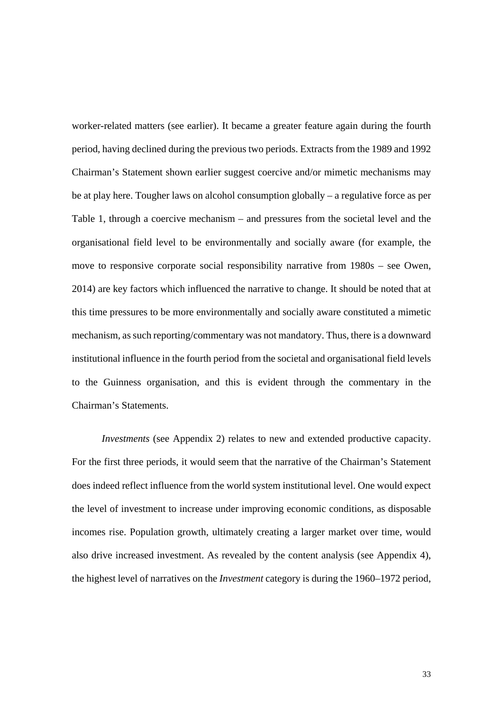worker-related matters (see earlier). It became a greater feature again during the fourth period, having declined during the previous two periods. Extracts from the 1989 and 1992 Chairman's Statement shown earlier suggest coercive and/or mimetic mechanisms may be at play here. Tougher laws on alcohol consumption globally – a regulative force as per Table 1, through a coercive mechanism – and pressures from the societal level and the organisational field level to be environmentally and socially aware (for example, the move to responsive corporate social responsibility narrative from 1980s – see Owen, 2014) are key factors which influenced the narrative to change. It should be noted that at this time pressures to be more environmentally and socially aware constituted a mimetic mechanism, as such reporting/commentary was not mandatory. Thus, there is a downward institutional influence in the fourth period from the societal and organisational field levels to the Guinness organisation, and this is evident through the commentary in the Chairman's Statements.

*Investments* (see Appendix 2) relates to new and extended productive capacity. For the first three periods, it would seem that the narrative of the Chairman's Statement does indeed reflect influence from the world system institutional level. One would expect the level of investment to increase under improving economic conditions, as disposable incomes rise. Population growth, ultimately creating a larger market over time, would also drive increased investment. As revealed by the content analysis (see Appendix 4), the highest level of narratives on the *Investment* category is during the 1960–1972 period,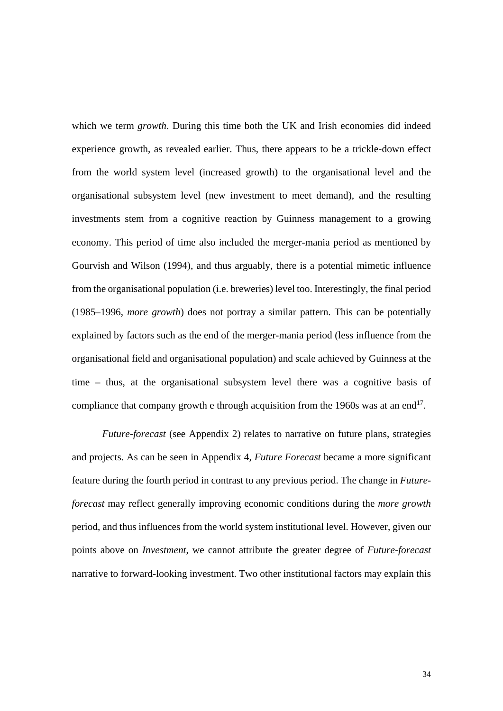which we term *growth*. During this time both the UK and Irish economies did indeed experience growth, as revealed earlier. Thus, there appears to be a trickle-down effect from the world system level (increased growth) to the organisational level and the organisational subsystem level (new investment to meet demand), and the resulting investments stem from a cognitive reaction by Guinness management to a growing economy. This period of time also included the merger-mania period as mentioned by Gourvish and Wilson (1994), and thus arguably, there is a potential mimetic influence from the organisational population (i.e. breweries) level too. Interestingly, the final period (1985–1996, *more growth*) does not portray a similar pattern. This can be potentially explained by factors such as the end of the merger-mania period (less influence from the organisational field and organisational population) and scale achieved by Guinness at the time – thus, at the organisational subsystem level there was a cognitive basis of compliance that company growth e through acquisition from the 1960s was at an end<sup>17</sup>.

*Future-forecast* (see Appendix 2) relates to narrative on future plans, strategies and projects. As can be seen in Appendix 4, *Future Forecast* became a more significant feature during the fourth period in contrast to any previous period. The change in *Futureforecast* may reflect generally improving economic conditions during the *more growth* period, and thus influences from the world system institutional level. However, given our points above on *Investment*, we cannot attribute the greater degree of *Future-forecast* narrative to forward-looking investment. Two other institutional factors may explain this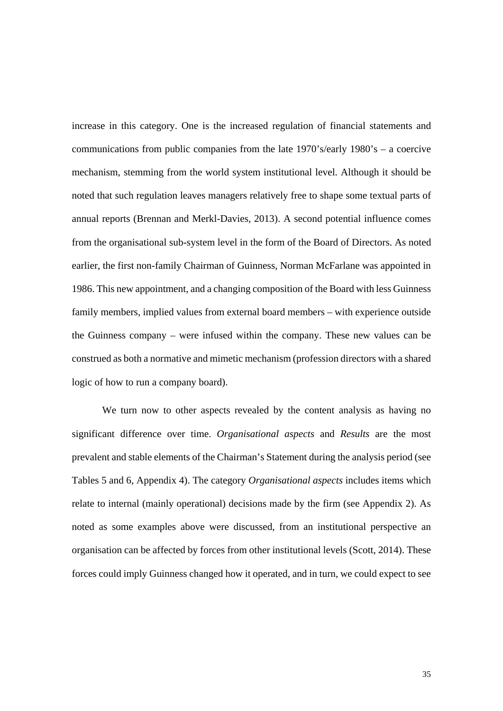increase in this category. One is the increased regulation of financial statements and communications from public companies from the late 1970's/early 1980's – a coercive mechanism, stemming from the world system institutional level. Although it should be noted that such regulation leaves managers relatively free to shape some textual parts of annual reports (Brennan and Merkl-Davies, 2013). A second potential influence comes from the organisational sub-system level in the form of the Board of Directors. As noted earlier, the first non-family Chairman of Guinness, Norman McFarlane was appointed in 1986. This new appointment, and a changing composition of the Board with less Guinness family members, implied values from external board members – with experience outside the Guinness company – were infused within the company. These new values can be construed as both a normative and mimetic mechanism (profession directors with a shared logic of how to run a company board).

We turn now to other aspects revealed by the content analysis as having no significant difference over time. *Organisational aspects* and *Results* are the most prevalent and stable elements of the Chairman's Statement during the analysis period (see Tables 5 and 6, Appendix 4). The category *Organisational aspects* includes items which relate to internal (mainly operational) decisions made by the firm (see Appendix 2). As noted as some examples above were discussed, from an institutional perspective an organisation can be affected by forces from other institutional levels (Scott, 2014). These forces could imply Guinness changed how it operated, and in turn, we could expect to see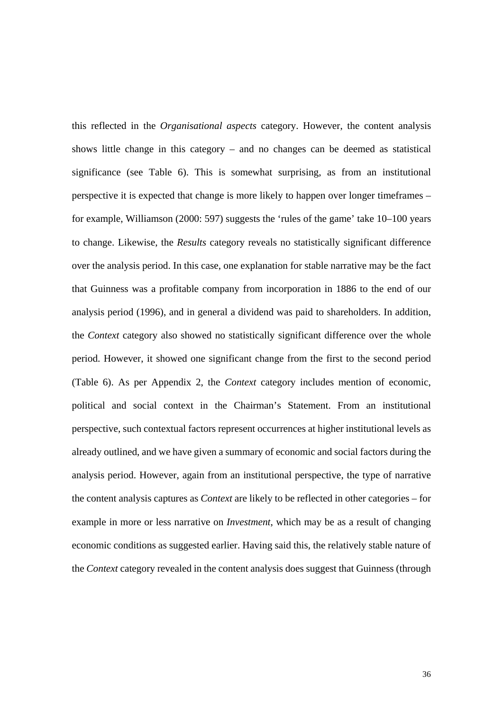this reflected in the *Organisational aspects* category. However, the content analysis shows little change in this category – and no changes can be deemed as statistical significance (see Table 6). This is somewhat surprising, as from an institutional perspective it is expected that change is more likely to happen over longer timeframes – for example, Williamson (2000: 597) suggests the 'rules of the game' take 10–100 years to change. Likewise, the *Results* category reveals no statistically significant difference over the analysis period. In this case, one explanation for stable narrative may be the fact that Guinness was a profitable company from incorporation in 1886 to the end of our analysis period (1996), and in general a dividend was paid to shareholders. In addition, the *Context* category also showed no statistically significant difference over the whole period. However, it showed one significant change from the first to the second period (Table 6). As per Appendix 2, the *Context* category includes mention of economic, political and social context in the Chairman's Statement. From an institutional perspective, such contextual factors represent occurrences at higher institutional levels as already outlined, and we have given a summary of economic and social factors during the analysis period. However, again from an institutional perspective, the type of narrative the content analysis captures as *Context* are likely to be reflected in other categories – for example in more or less narrative on *Investment*, which may be as a result of changing economic conditions as suggested earlier. Having said this, the relatively stable nature of the *Context* category revealed in the content analysis does suggest that Guinness (through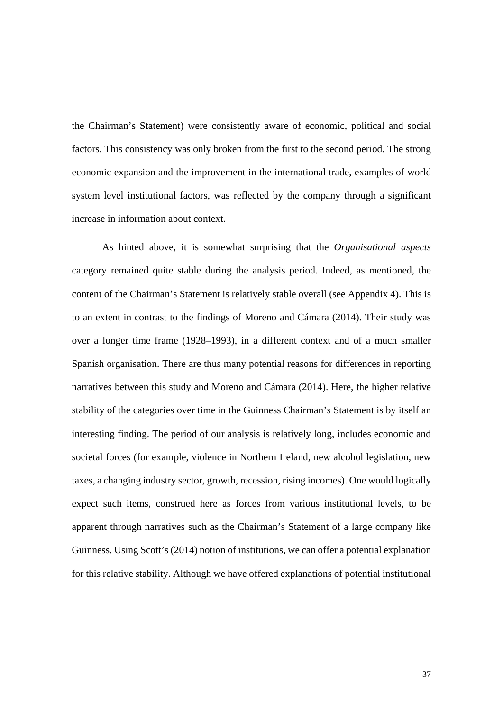the Chairman's Statement) were consistently aware of economic, political and social factors. This consistency was only broken from the first to the second period. The strong economic expansion and the improvement in the international trade, examples of world system level institutional factors, was reflected by the company through a significant increase in information about context.

As hinted above, it is somewhat surprising that the *Organisational aspects* category remained quite stable during the analysis period. Indeed, as mentioned, the content of the Chairman's Statement is relatively stable overall (see Appendix 4). This is to an extent in contrast to the findings of Moreno and Cámara (2014). Their study was over a longer time frame (1928–1993), in a different context and of a much smaller Spanish organisation. There are thus many potential reasons for differences in reporting narratives between this study and Moreno and Cámara (2014). Here, the higher relative stability of the categories over time in the Guinness Chairman's Statement is by itself an interesting finding. The period of our analysis is relatively long, includes economic and societal forces (for example, violence in Northern Ireland, new alcohol legislation, new taxes, a changing industry sector, growth, recession, rising incomes). One would logically expect such items, construed here as forces from various institutional levels, to be apparent through narratives such as the Chairman's Statement of a large company like Guinness. Using Scott's (2014) notion of institutions, we can offer a potential explanation for this relative stability. Although we have offered explanations of potential institutional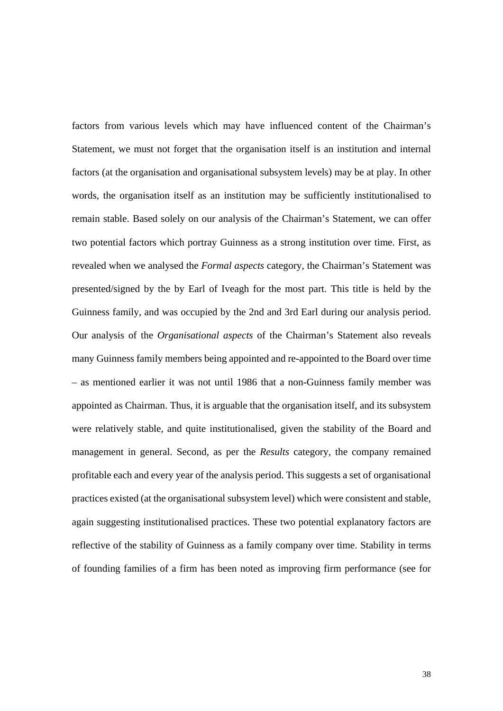factors from various levels which may have influenced content of the Chairman's Statement, we must not forget that the organisation itself is an institution and internal factors (at the organisation and organisational subsystem levels) may be at play. In other words, the organisation itself as an institution may be sufficiently institutionalised to remain stable. Based solely on our analysis of the Chairman's Statement, we can offer two potential factors which portray Guinness as a strong institution over time. First, as revealed when we analysed the *Formal aspects* category, the Chairman's Statement was presented/signed by the by Earl of Iveagh for the most part. This title is held by the Guinness family, and was occupied by the 2nd and 3rd Earl during our analysis period. Our analysis of the *Organisational aspects* of the Chairman's Statement also reveals many Guinness family members being appointed and re-appointed to the Board over time – as mentioned earlier it was not until 1986 that a non-Guinness family member was appointed as Chairman. Thus, it is arguable that the organisation itself, and its subsystem were relatively stable, and quite institutionalised, given the stability of the Board and management in general. Second, as per the *Results* category, the company remained profitable each and every year of the analysis period. This suggests a set of organisational practices existed (at the organisational subsystem level) which were consistent and stable, again suggesting institutionalised practices. These two potential explanatory factors are reflective of the stability of Guinness as a family company over time. Stability in terms of founding families of a firm has been noted as improving firm performance (see for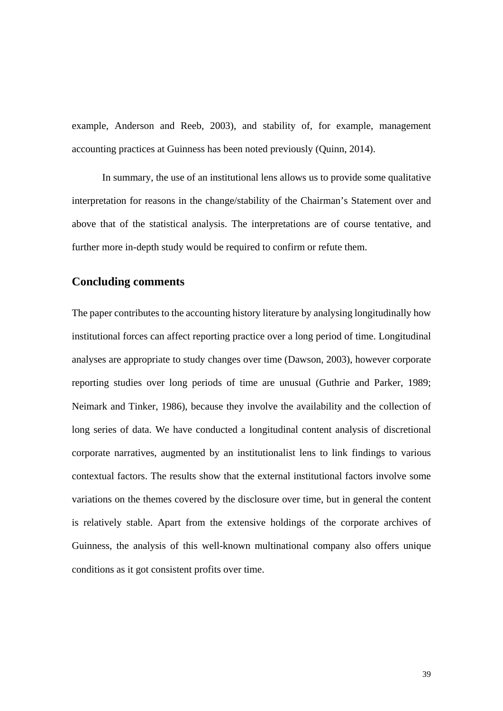example, Anderson and Reeb, 2003), and stability of, for example, management accounting practices at Guinness has been noted previously (Quinn, 2014).

In summary, the use of an institutional lens allows us to provide some qualitative interpretation for reasons in the change/stability of the Chairman's Statement over and above that of the statistical analysis. The interpretations are of course tentative, and further more in-depth study would be required to confirm or refute them.

#### **Concluding comments**

The paper contributes to the accounting history literature by analysing longitudinally how institutional forces can affect reporting practice over a long period of time. Longitudinal analyses are appropriate to study changes over time (Dawson, 2003), however corporate reporting studies over long periods of time are unusual (Guthrie and Parker, 1989; Neimark and Tinker, 1986), because they involve the availability and the collection of long series of data. We have conducted a longitudinal content analysis of discretional corporate narratives, augmented by an institutionalist lens to link findings to various contextual factors. The results show that the external institutional factors involve some variations on the themes covered by the disclosure over time, but in general the content is relatively stable. Apart from the extensive holdings of the corporate archives of Guinness, the analysis of this well-known multinational company also offers unique conditions as it got consistent profits over time.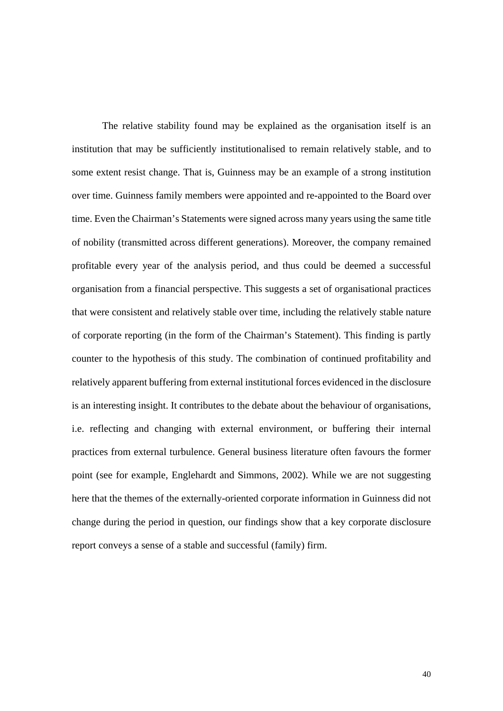The relative stability found may be explained as the organisation itself is an institution that may be sufficiently institutionalised to remain relatively stable, and to some extent resist change. That is, Guinness may be an example of a strong institution over time. Guinness family members were appointed and re-appointed to the Board over time. Even the Chairman's Statements were signed across many years using the same title of nobility (transmitted across different generations). Moreover, the company remained profitable every year of the analysis period, and thus could be deemed a successful organisation from a financial perspective. This suggests a set of organisational practices that were consistent and relatively stable over time, including the relatively stable nature of corporate reporting (in the form of the Chairman's Statement). This finding is partly counter to the hypothesis of this study. The combination of continued profitability and relatively apparent buffering from external institutional forces evidenced in the disclosure is an interesting insight. It contributes to the debate about the behaviour of organisations, i.e. reflecting and changing with external environment, or buffering their internal practices from external turbulence. General business literature often favours the former point (see for example, Englehardt and Simmons, 2002). While we are not suggesting here that the themes of the externally-oriented corporate information in Guinness did not change during the period in question, our findings show that a key corporate disclosure report conveys a sense of a stable and successful (family) firm.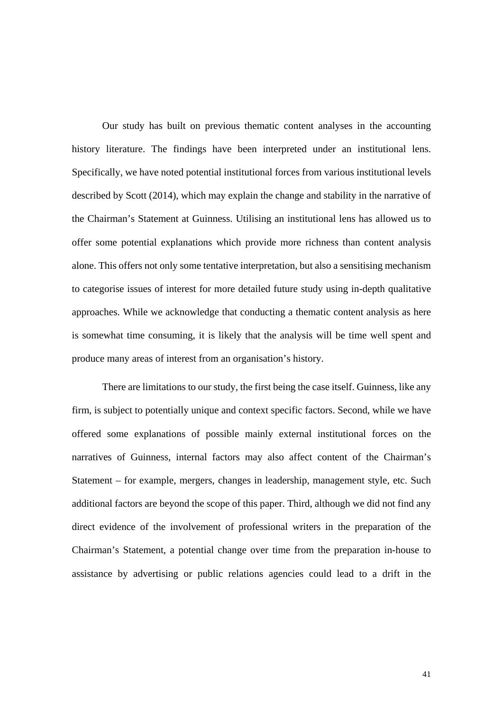Our study has built on previous thematic content analyses in the accounting history literature. The findings have been interpreted under an institutional lens. Specifically, we have noted potential institutional forces from various institutional levels described by Scott (2014), which may explain the change and stability in the narrative of the Chairman's Statement at Guinness. Utilising an institutional lens has allowed us to offer some potential explanations which provide more richness than content analysis alone. This offers not only some tentative interpretation, but also a sensitising mechanism to categorise issues of interest for more detailed future study using in-depth qualitative approaches. While we acknowledge that conducting a thematic content analysis as here is somewhat time consuming, it is likely that the analysis will be time well spent and produce many areas of interest from an organisation's history.

There are limitations to our study, the first being the case itself. Guinness, like any firm, is subject to potentially unique and context specific factors. Second, while we have offered some explanations of possible mainly external institutional forces on the narratives of Guinness, internal factors may also affect content of the Chairman's Statement – for example, mergers, changes in leadership, management style, etc. Such additional factors are beyond the scope of this paper. Third, although we did not find any direct evidence of the involvement of professional writers in the preparation of the Chairman's Statement, a potential change over time from the preparation in-house to assistance by advertising or public relations agencies could lead to a drift in the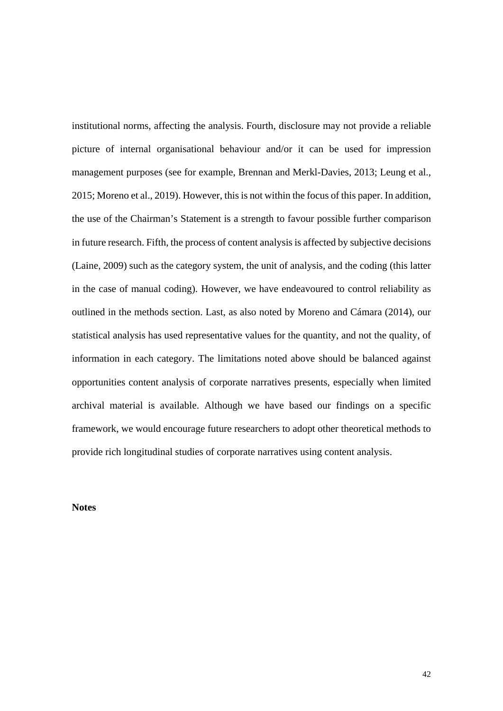institutional norms, affecting the analysis. Fourth, disclosure may not provide a reliable picture of internal organisational behaviour and/or it can be used for impression management purposes (see for example, Brennan and Merkl-Davies, 2013; Leung et al., 2015; Moreno et al., 2019). However, this is not within the focus of this paper. In addition, the use of the Chairman's Statement is a strength to favour possible further comparison in future research. Fifth, the process of content analysis is affected by subjective decisions (Laine, 2009) such as the category system, the unit of analysis, and the coding (this latter in the case of manual coding). However, we have endeavoured to control reliability as outlined in the methods section. Last, as also noted by Moreno and Cámara (2014), our statistical analysis has used representative values for the quantity, and not the quality, of information in each category. The limitations noted above should be balanced against opportunities content analysis of corporate narratives presents, especially when limited archival material is available. Although we have based our findings on a specific framework, we would encourage future researchers to adopt other theoretical methods to provide rich longitudinal studies of corporate narratives using content analysis.

**Notes**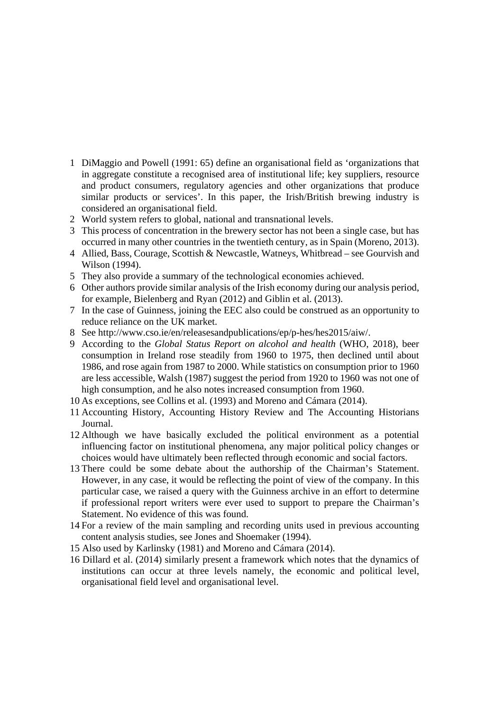- 1 DiMaggio and Powell (1991: 65) define an organisational field as 'organizations that in aggregate constitute a recognised area of institutional life; key suppliers, resource and product consumers, regulatory agencies and other organizations that produce similar products or services'. In this paper, the Irish/British brewing industry is considered an organisational field.
- 2 World system refers to global, national and transnational levels.
- 3 This process of concentration in the brewery sector has not been a single case, but has occurred in many other countries in the twentieth century, as in Spain (Moreno, 2013).
- 4 Allied, Bass, Courage, Scottish & Newcastle, Watneys, Whitbread see Gourvish and Wilson (1994).
- 5 They also provide a summary of the technological economies achieved.
- 6 Other authors provide similar analysis of the Irish economy during our analysis period, for example, Bielenberg and Ryan (2012) and Giblin et al. (2013).
- 7 In the case of Guinness, joining the EEC also could be construed as an opportunity to reduce reliance on the UK market.
- 8 See http://www.cso.ie/en/releasesandpublications/ep/p-hes/hes2015/aiw/.
- 9 According to the *Global Status Report on alcohol and health* (WHO, 2018), beer consumption in Ireland rose steadily from 1960 to 1975, then declined until about 1986, and rose again from 1987 to 2000. While statistics on consumption prior to 1960 are less accessible, Walsh (1987) suggest the period from 1920 to 1960 was not one of high consumption, and he also notes increased consumption from 1960.
- 10 As exceptions, see Collins et al. (1993) and Moreno and Cámara (2014).
- 11 Accounting History, Accounting History Review and The Accounting Historians Journal.
- 12 Although we have basically excluded the political environment as a potential influencing factor on institutional phenomena, any major political policy changes or choices would have ultimately been reflected through economic and social factors.
- 13 There could be some debate about the authorship of the Chairman's Statement. However, in any case, it would be reflecting the point of view of the company. In this particular case, we raised a query with the Guinness archive in an effort to determine if professional report writers were ever used to support to prepare the Chairman's Statement. No evidence of this was found.
- 14 For a review of the main sampling and recording units used in previous accounting content analysis studies, see Jones and Shoemaker (1994).
- 15 Also used by Karlinsky (1981) and Moreno and Cámara (2014).
- 16 Dillard et al. (2014) similarly present a framework which notes that the dynamics of institutions can occur at three levels namely, the economic and political level, organisational field level and organisational level.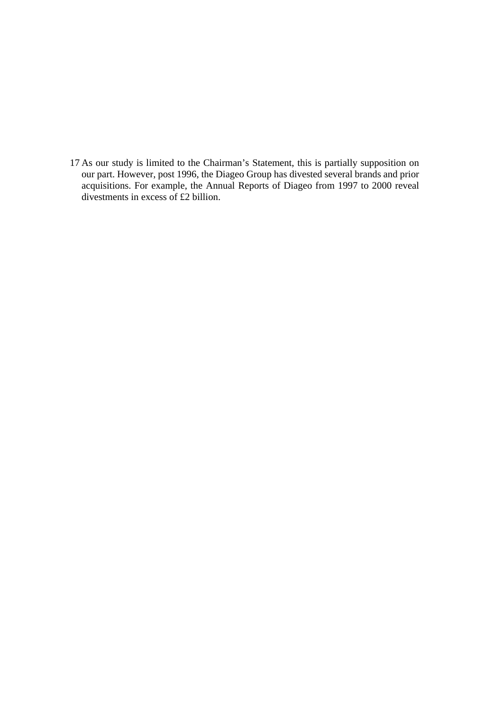17 As our study is limited to the Chairman's Statement, this is partially supposition on our part. However, post 1996, the Diageo Group has divested several brands and prior acquisitions. For example, the Annual Reports of Diageo from 1997 to 2000 reveal divestments in excess of £2 billion.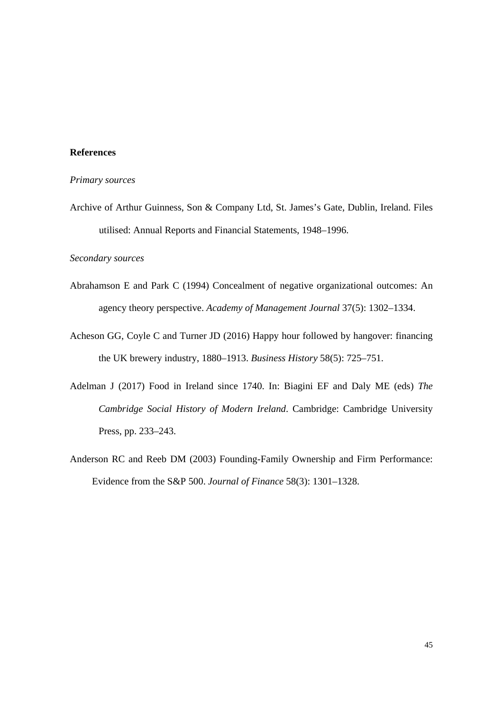#### **References**

#### *Primary sources*

Archive of Arthur Guinness, Son & Company Ltd, St. James's Gate, Dublin, Ireland. Files utilised: Annual Reports and Financial Statements, 1948–1996.

#### *Secondary sources*

- Abrahamson E and Park C (1994) Concealment of negative organizational outcomes: An agency theory perspective. *Academy of Management Journal* 37(5): 1302–1334.
- Acheson GG, Coyle C and Turner JD (2016) Happy hour followed by hangover: financing the UK brewery industry, 1880–1913. *Business History* 58(5): 725*–*751.
- Adelman J (2017) Food in Ireland since 1740. In: Biagini EF and Daly ME (eds) *The Cambridge Social History of Modern Ireland*. Cambridge: Cambridge University Press, pp. 233–243.
- Anderson RC and Reeb DM (2003) Founding-Family Ownership and Firm Performance: Evidence from the S&P 500. *Journal of Finance* 58(3): 1301–1328.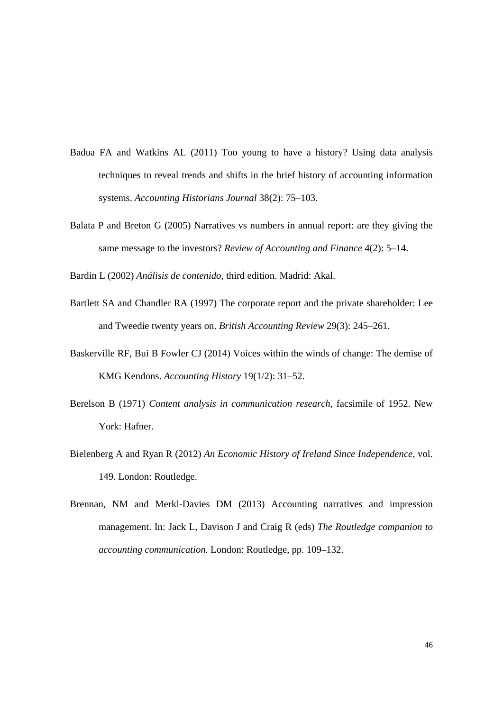- Badua FA and Watkins AL (2011) Too young to have a history? Using data analysis techniques to reveal trends and shifts in the brief history of accounting information systems. *Accounting Historians Journal* 38(2): 75–103.
- Balata P and Breton G (2005) Narratives vs numbers in annual report: are they giving the same message to the investors? *Review of Accounting and Finance* 4(2): 5–14.

Bardin L (2002) *Análisis de contenido*, third edition. Madrid: Akal.

- Bartlett SA and Chandler RA (1997) The corporate report and the private shareholder: Lee and Tweedie twenty years on. *British Accounting Review* 29(3): 245–261.
- Baskerville RF, Bui B Fowler CJ (2014) Voices within the winds of change: The demise of KMG Kendons. *Accounting History* 19(1/2): 31–52.
- Berelson B (1971) *Content analysis in communication research*, facsimile of 1952. New York: Hafner.
- Bielenberg A and Ryan R (2012) *An Economic History of Ireland Since Independence*, vol. 149. London: Routledge.
- Brennan, NM and Merkl-Davies DM (2013) Accounting narratives and impression management. In: Jack L, Davison J and Craig R (eds) *The Routledge companion to accounting communication.* London: Routledge, pp. 109–132.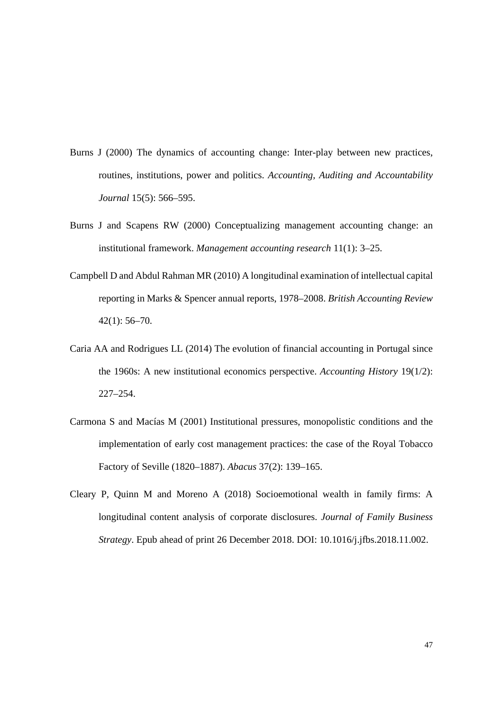- Burns J (2000) The dynamics of accounting change: Inter-play between new practices, routines, institutions, power and politics. *Accounting, Auditing and Accountability Journal* 15(5): 566–595.
- Burns J and Scapens RW (2000) Conceptualizing management accounting change: an institutional framework. *Management accounting research* 11(1): 3–25.
- Campbell D and Abdul Rahman MR (2010) A longitudinal examination of intellectual capital reporting in Marks & Spencer annual reports, 1978–2008. *British Accounting Review*  42(1): 56–70.
- Caria AA and Rodrigues LL (2014) The evolution of financial accounting in Portugal since the 1960s: A new institutional economics perspective. *Accounting History* 19(1/2): 227–254.
- Carmona S and Macías M (2001) Institutional pressures, monopolistic conditions and the implementation of early cost management practices: the case of the Royal Tobacco Factory of Seville (1820–1887). *Abacus* 37(2): 139–165.
- Cleary P, Quinn M and Moreno A (2018) Socioemotional wealth in family firms: A longitudinal content analysis of corporate disclosures. *Journal of Family Business Strategy*. Epub ahead of print 26 December 2018. DOI: 10.1016/j.jfbs.2018.11.002.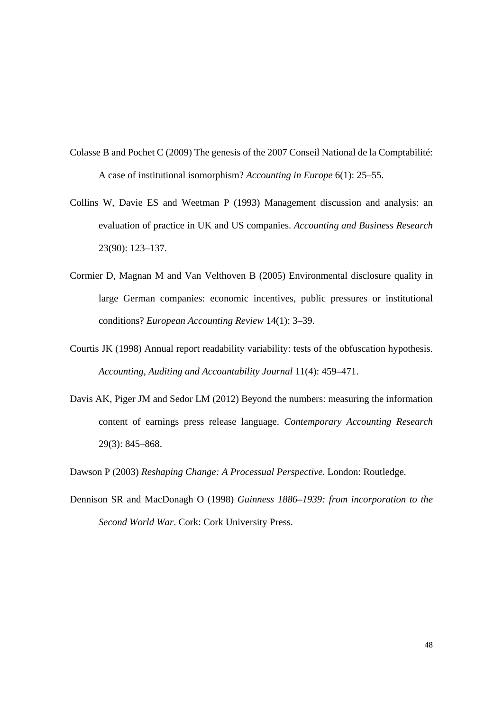- Colasse B and Pochet C (2009) The genesis of the 2007 Conseil National de la Comptabilité: A case of institutional isomorphism? *Accounting in Europe* 6(1): 25–55.
- Collins W, Davie ES and Weetman P (1993) Management discussion and analysis: an evaluation of practice in UK and US companies. *Accounting and Business Research* 23(90): 123–137.
- Cormier D, Magnan M and Van Velthoven B (2005) Environmental disclosure quality in large German companies: economic incentives, public pressures or institutional conditions? *European Accounting Review* 14(1): 3–39.
- Courtis JK (1998) Annual report readability variability: tests of the obfuscation hypothesis. *Accounting, Auditing and Accountability Journal* 11(4): 459–471.
- Davis AK, Piger JM and Sedor LM (2012) Beyond the numbers: measuring the information content of earnings press release language. *Contemporary Accounting Research*  29(3): 845–868.
- Dawson P (2003) *Reshaping Change: A Processual Perspective.* London: Routledge.
- Dennison SR and MacDonagh O (1998) *Guinness 1886–1939: from incorporation to the Second World War*. Cork: Cork University Press.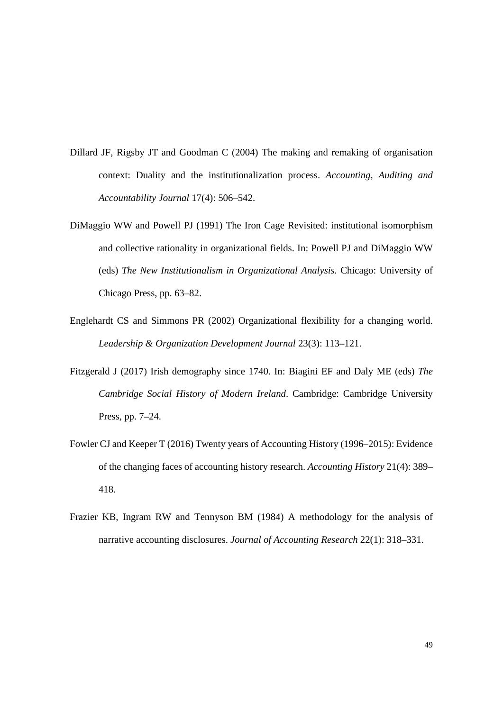- Dillard JF, Rigsby JT and Goodman C (2004) The making and remaking of organisation context: Duality and the institutionalization process. *Accounting, Auditing and Accountability Journal* 17(4): 506–542.
- DiMaggio WW and Powell PJ (1991) The Iron Cage Revisited: institutional isomorphism and collective rationality in organizational fields. In: Powell PJ and DiMaggio WW (eds) *The New Institutionalism in Organizational Analysis.* Chicago: University of Chicago Press, pp. 63–82.
- Englehardt CS and Simmons PR (2002) Organizational flexibility for a changing world. *Leadership & Organization Development Journal* 23(3): 113–121.
- Fitzgerald J (2017) Irish demography since 1740. In: Biagini EF and Daly ME (eds) *The Cambridge Social History of Modern Ireland*. Cambridge: Cambridge University Press, pp. 7–24.
- Fowler CJ and Keeper T (2016) Twenty years of Accounting History (1996–2015): Evidence of the changing faces of accounting history research. *Accounting History* 21(4): 389– 418.
- Frazier KB, Ingram RW and Tennyson BM (1984) A methodology for the analysis of narrative accounting disclosures. *Journal of Accounting Research* 22(1): 318–331.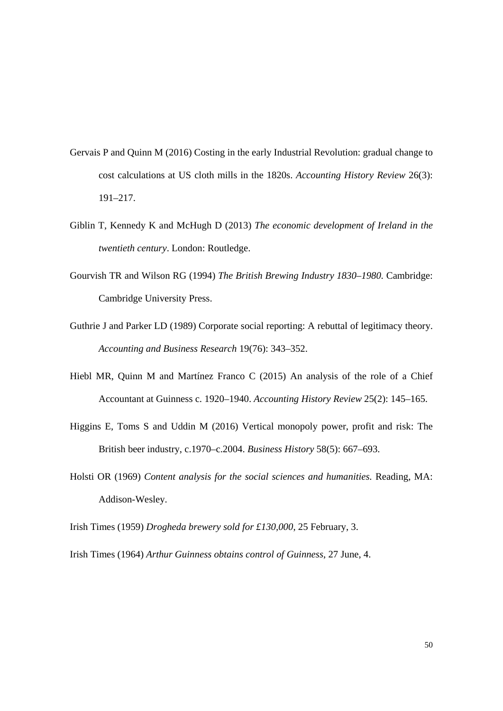- Gervais P and Quinn M (2016) Costing in the early Industrial Revolution: gradual change to cost calculations at US cloth mills in the 1820s. *Accounting History Review* 26(3): 191–217.
- Giblin T, Kennedy K and McHugh D (2013) *The economic development of Ireland in the twentieth century*. London: Routledge.
- Gourvish TR and Wilson RG (1994) *The British Brewing Industry 1830–1980.* Cambridge: Cambridge University Press.
- Guthrie J and Parker LD (1989) Corporate social reporting: A rebuttal of legitimacy theory. *Accounting and Business Research* 19(76): 343–352.
- Hiebl MR, Quinn M and Martínez Franco C (2015) An analysis of the role of a Chief Accountant at Guinness c. 1920–1940. *Accounting History Review* 25(2): 145–165.
- Higgins E, Toms S and Uddin M (2016) Vertical monopoly power, profit and risk: The British beer industry, c.1970–c.2004. *Business History* 58(5): 667–693.
- Holsti OR (1969) *Content analysis for the social sciences and humanities.* Reading, MA: Addison-Wesley.

Irish Times (1959) *Drogheda brewery sold for £130,000*, 25 February, 3.

Irish Times (1964) *Arthur Guinness obtains control of Guinness*, 27 June, 4.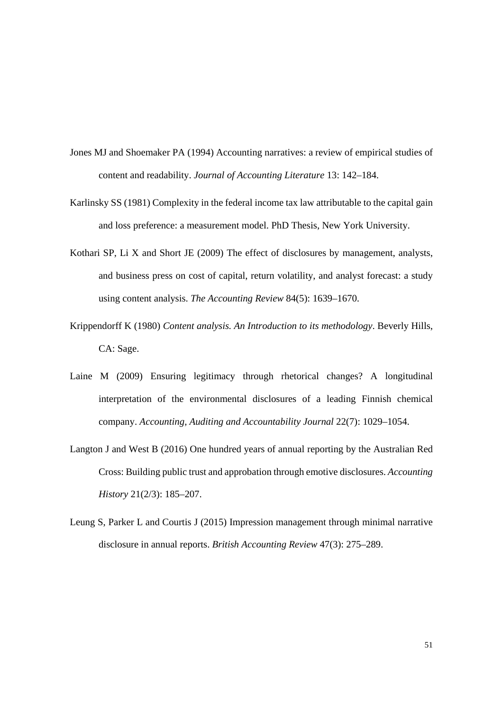- Jones MJ and Shoemaker PA (1994) Accounting narratives: a review of empirical studies of content and readability. *Journal of Accounting Literature* 13: 142–184.
- Karlinsky SS (1981) Complexity in the federal income tax law attributable to the capital gain and loss preference: a measurement model. PhD Thesis, New York University.
- Kothari SP, Li X and Short JE (2009) The effect of disclosures by management, analysts, and business press on cost of capital, return volatility, and analyst forecast: a study using content analysis. *The Accounting Review* 84(5): 1639–1670.
- Krippendorff K (1980) *Content analysis. An Introduction to its methodology*. Beverly Hills, CA: Sage.
- Laine M (2009) Ensuring legitimacy through rhetorical changes? A longitudinal interpretation of the environmental disclosures of a leading Finnish chemical company. *Accounting, Auditing and Accountability Journal* 22(7): 1029–1054.
- Langton J and West B (2016) One hundred years of annual reporting by the Australian Red Cross: Building public trust and approbation through emotive disclosures. *Accounting History* 21(2/3): 185–207.
- Leung S, Parker L and Courtis J (2015) Impression management through minimal narrative disclosure in annual reports. *British Accounting Review* 47(3): 275–289.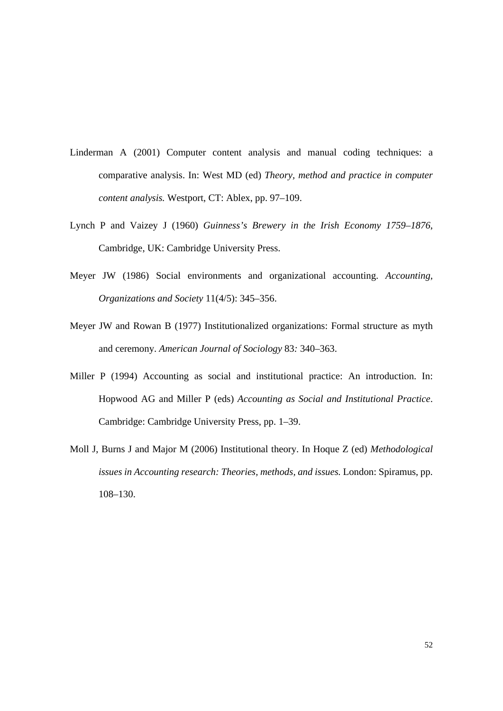- Linderman A (2001) Computer content analysis and manual coding techniques: a comparative analysis. In: West MD (ed) *Theory, method and practice in computer content analysis.* Westport, CT: Ablex, pp. 97–109.
- Lynch P and Vaizey J (1960) *Guinness's Brewery in the Irish Economy 1759–1876*, Cambridge, UK: Cambridge University Press.
- Meyer JW (1986) Social environments and organizational accounting. *Accounting, Organizations and Society* 11(4/5): 345–356.
- Meyer JW and Rowan B (1977) Institutionalized organizations: Formal structure as myth and ceremony. *American Journal of Sociology* 83*:* 340–363.
- Miller P (1994) Accounting as social and institutional practice: An introduction. In: Hopwood AG and Miller P (eds) *Accounting as Social and Institutional Practice*. Cambridge: Cambridge University Press, pp. 1–39.
- Moll J, Burns J and Major M (2006) Institutional theory. In Hoque Z (ed) *Methodological issues in Accounting research: Theories, methods, and issues.* London: Spiramus, pp. 108–130.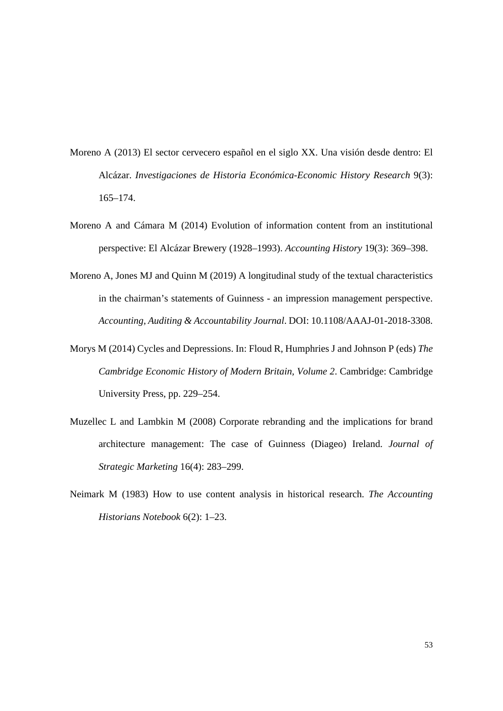- Moreno A (2013) El sector cervecero español en el siglo XX. Una visión desde dentro: El Alcázar. *Investigaciones de Historia Económica-Economic History Research* 9(3): 165–174.
- Moreno A and Cámara M (2014) Evolution of information content from an institutional perspective: El Alcázar Brewery (1928–1993). *Accounting History* 19(3): 369–398.
- Moreno A, Jones MJ and Quinn M (2019) A longitudinal study of the textual characteristics in the chairman's statements of Guinness - an impression management perspective. *Accounting, Auditing & Accountability Journal*. DOI: 10.1108/AAAJ-01-2018-3308.
- Morys M (2014) Cycles and Depressions. In: Floud R, Humphries J and Johnson P (eds) *The Cambridge Economic History of Modern Britain, Volume 2*. Cambridge: Cambridge University Press, pp. 229–254.
- Muzellec L and Lambkin M (2008) Corporate rebranding and the implications for brand architecture management: The case of Guinness (Diageo) Ireland. *Journal of Strategic Marketing* 16(4): 283–299.
- Neimark M (1983) How to use content analysis in historical research. *The Accounting Historians Notebook* 6(2): 1–23.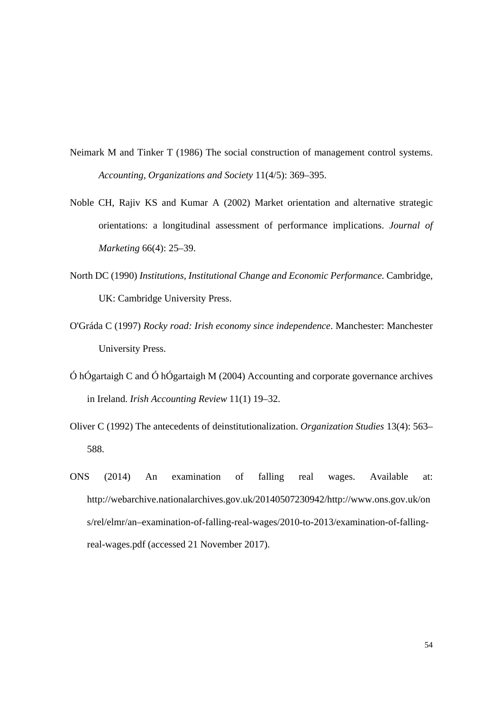- Neimark M and Tinker T (1986) The social construction of management control systems. *Accounting, Organizations and Society* 11(4/5): 369–395.
- Noble CH, Rajiv KS and Kumar A (2002) Market orientation and alternative strategic orientations: a longitudinal assessment of performance implications. *Journal of Marketing* 66(4): 25–39.
- North DC (1990) *Institutions, Institutional Change and Economic Performance.* Cambridge, UK: Cambridge University Press.
- O'Gráda C (1997) *Rocky road: Irish economy since independence*. Manchester: Manchester University Press.
- Ó hÓgartaigh C and Ó hÓgartaigh M (2004) Accounting and corporate governance archives in Ireland. *Irish Accounting Review* 11(1) 19–32.
- Oliver C (1992) The antecedents of deinstitutionalization. *Organization Studies* 13(4): 563– 588.
- ONS (2014) An examination of falling real wages. Available at: http://webarchive.nationalarchives.gov.uk/20140507230942/http://www.ons.gov.uk/on s/rel/elmr/an–examination-of-falling-real-wages/2010-to-2013/examination-of-fallingreal-wages.pdf (accessed 21 November 2017).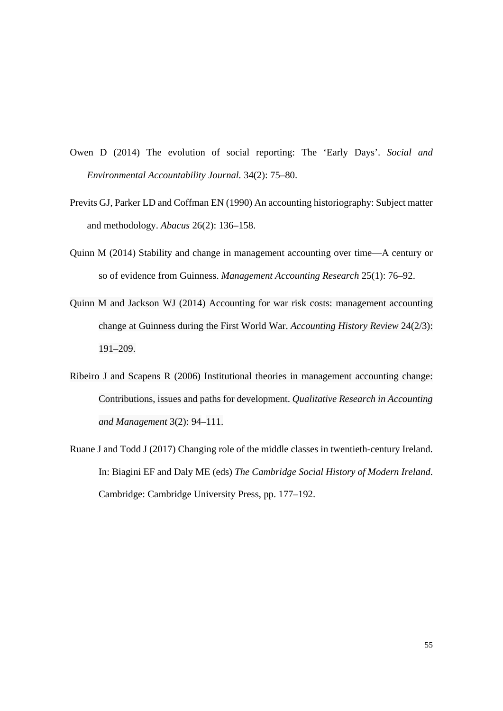- Owen D (2014) The evolution of social reporting: The 'Early Days'. *Social and Environmental Accountability Journal.* 34(2): 75–80.
- Previts GJ, Parker LD and Coffman EN (1990) An accounting historiography: Subject matter and methodology. *Abacus* 26(2): 136–158.
- Quinn M (2014) Stability and change in management accounting over time—A century or so of evidence from Guinness. *Management Accounting Research* 25(1): 76–92.
- Quinn M and Jackson WJ (2014) Accounting for war risk costs: management accounting change at Guinness during the First World War. *Accounting History Review* 24(2/3): 191–209.
- Ribeiro J and Scapens R (2006) Institutional theories in management accounting change: Contributions, issues and paths for development. *Qualitative Research in Accounting and Management* 3(2): 94–111.
- Ruane J and Todd J (2017) Changing role of the middle classes in twentieth-century Ireland. In: Biagini EF and Daly ME (eds) *The Cambridge Social History of Modern Ireland*. Cambridge: Cambridge University Press, pp. 177–192.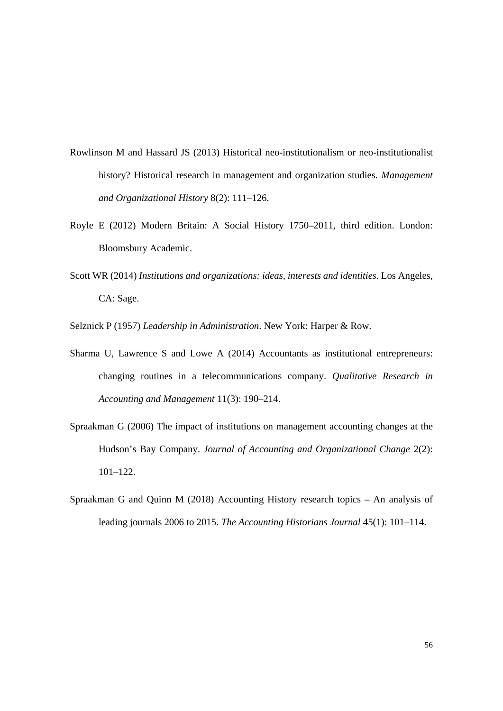- Rowlinson M and Hassard JS (2013) Historical neo-institutionalism or neo-institutionalist history? Historical research in management and organization studies. *Management and Organizational History* 8(2): 111–126.
- Royle E (2012) Modern Britain: A Social History 1750–2011, third edition. London: Bloomsbury Academic.
- Scott WR (2014) *Institutions and organizations: ideas, interests and identities*. Los Angeles, CA: Sage.

Selznick P (1957) *Leadership in Administration*. New York: Harper & Row.

- Sharma U, Lawrence S and Lowe A (2014) Accountants as institutional entrepreneurs: changing routines in a telecommunications company. *Qualitative Research in Accounting and Management* 11(3): 190–214.
- Spraakman G (2006) The impact of institutions on management accounting changes at the Hudson's Bay Company. *Journal of Accounting and Organizational Change* 2(2): 101–122.
- Spraakman G and Quinn M (2018) Accounting History research topics An analysis of leading journals 2006 to 2015. *The Accounting Historians Journal* 45(1): 101–114.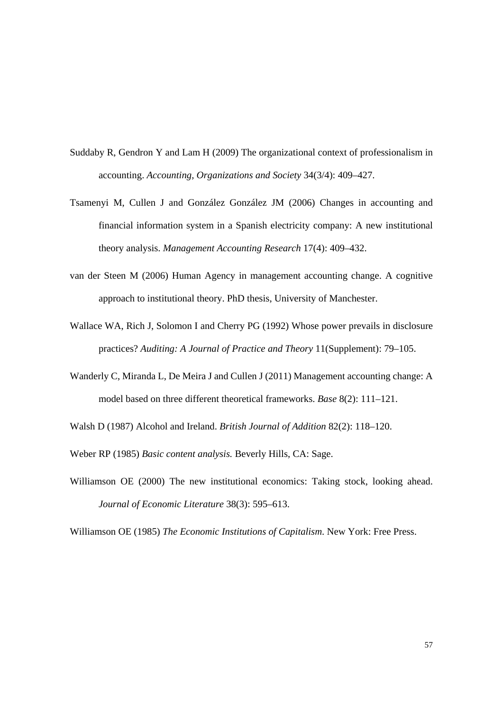- Suddaby R, Gendron Y and Lam H (2009) The organizational context of professionalism in accounting. *Accounting, Organizations and Society* 34(3/4): 409–427.
- Tsamenyi M, Cullen J and González González JM (2006) Changes in accounting and financial information system in a Spanish electricity company: A new institutional theory analysis. *Management Accounting Research* 17(4): 409–432.
- van der Steen M (2006) Human Agency in management accounting change. A cognitive approach to institutional theory. PhD thesis, University of Manchester.
- Wallace WA, Rich J, Solomon I and Cherry PG (1992) Whose power prevails in disclosure practices? *Auditing: A Journal of Practice and Theory* 11(Supplement): 79–105.
- Wanderly C, Miranda L, De Meira J and Cullen J (2011) Management accounting change: A model based on three different theoretical frameworks. *Base* 8(2): 111–121.
- Walsh D (1987) Alcohol and Ireland. *British Journal of Addition* 82(2): 118–120.
- Weber RP (1985) *Basic content analysis.* Beverly Hills, CA: Sage.
- Williamson OE (2000) The new institutional economics: Taking stock, looking ahead. *Journal of Economic Literature* 38(3): 595–613.

Williamson OE (1985) *The Economic Institutions of Capitalism*. New York: Free Press.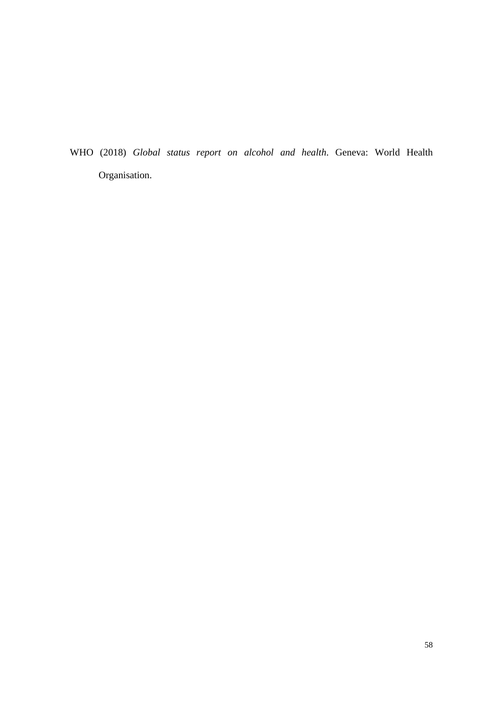WHO (2018) *Global status report on alcohol and health*. Geneva: World Health Organisation.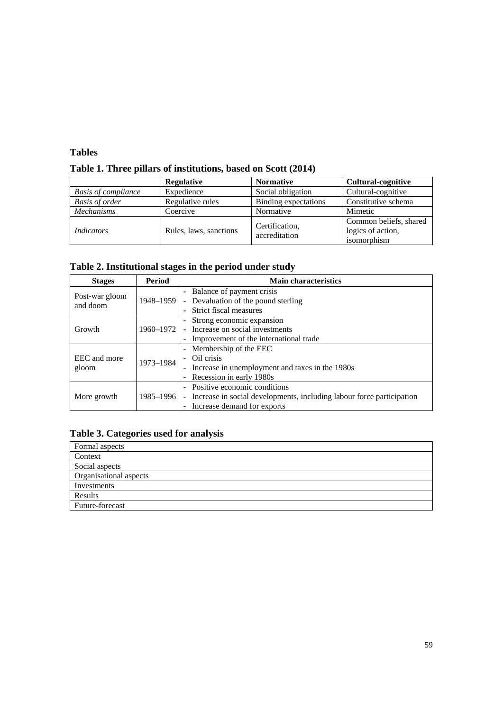#### **Tables**

**Table 1. Three pillars of institutions, based on Scott (2014)** 

|                            | <b>Regulative</b>      | <b>Normative</b>                | <b>Cultural-cognitive</b>                                  |  |
|----------------------------|------------------------|---------------------------------|------------------------------------------------------------|--|
| <b>Basis of compliance</b> | Expedience             | Social obligation               | Cultural-cognitive                                         |  |
| <b>Basis of order</b>      | Regulative rules       | Binding expectations            | Constitutive schema                                        |  |
| <b>Mechanisms</b>          | Coercive               | Normative                       | Mimetic                                                    |  |
| <i>Indicators</i>          | Rules, laws, sanctions | Certification.<br>accreditation | Common beliefs, shared<br>logics of action,<br>isomorphism |  |

| Table 2. Institutional stages in the period under study |  |  |
|---------------------------------------------------------|--|--|
|                                                         |  |  |

| <b>Stages</b>  | Period    | <b>Main characteristics</b>                                             |  |  |  |
|----------------|-----------|-------------------------------------------------------------------------|--|--|--|
| Post-war gloom |           | - Balance of payment crisis                                             |  |  |  |
| and doom       | 1948-1959 | - Devaluation of the pound sterling                                     |  |  |  |
|                |           | Strict fiscal measures                                                  |  |  |  |
|                |           | - Strong economic expansion                                             |  |  |  |
| Growth         | 1960-1972 | Increase on social investments                                          |  |  |  |
|                |           | Improvement of the international trade                                  |  |  |  |
|                |           | - Membership of the EEC                                                 |  |  |  |
| EEC and more   | 1973-1984 | - Oil crisis                                                            |  |  |  |
| gloom          |           | - Increase in unemployment and taxes in the 1980s                       |  |  |  |
|                |           | - Recession in early 1980s                                              |  |  |  |
|                |           | - Positive economic conditions                                          |  |  |  |
| More growth    | 1985-1996 | - Increase in social developments, including labour force participation |  |  |  |
|                |           | Increase demand for exports                                             |  |  |  |

## **Table 3. Categories used for analysis**

| Formal aspects         |
|------------------------|
| Context                |
| Social aspects         |
| Organisational aspects |
| Investments            |
| Results                |
| Future-forecast        |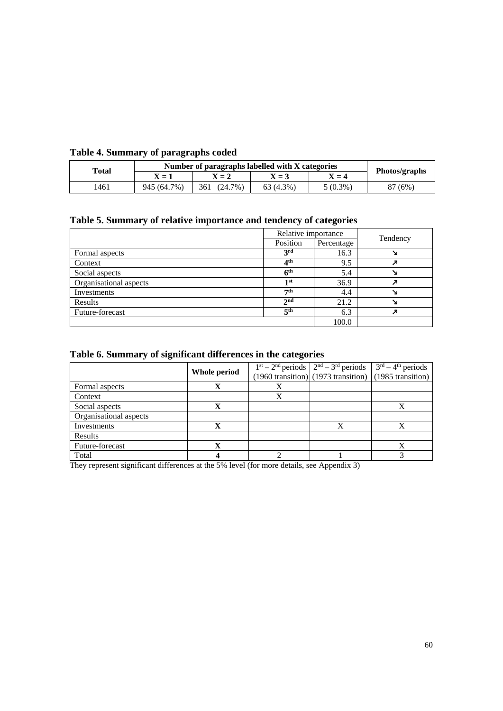#### **Table 4. Summary of paragraphs coded**

| Total | Number of paragraphs labelled with X categories | Photos/graphs     |             |            |         |  |
|-------|-------------------------------------------------|-------------------|-------------|------------|---------|--|
|       | $X = 1$                                         | $X = 2$           | $X = 3$     | $X=4$      |         |  |
| 1461  | 945 (64.7%)                                     | $(24.7\%)$<br>361 | $63(4.3\%)$ | $5(0.3\%)$ | 87 (6%) |  |

### **Table 5. Summary of relative importance and tendency of categories**

|                        | Relative importance |            |          |
|------------------------|---------------------|------------|----------|
|                        | Position            | Percentage | Tendency |
| Formal aspects         | 3 <sup>rd</sup>     | 16.3       |          |
| Context                | 4 <sup>th</sup>     | 9.5        |          |
| Social aspects         | 6 <sup>th</sup>     | 5.4        |          |
| Organisational aspects | 1st                 | 36.9       |          |
| Investments            | $\tau$ th           | 4.4        |          |
| Results                | 2 <sub>nd</sub>     | 21.2       |          |
| Future-forecast        | 5 <sup>th</sup>     | 6.3        |          |
|                        |                     | 100.0      |          |

#### **Table 6. Summary of significant differences in the categories**

|                        |              |   | $1st - 2nd$ periods $2nd - 3rd$ periods $3rd - 4th$ periods |   |  |
|------------------------|--------------|---|-------------------------------------------------------------|---|--|
|                        | Whole period |   | $(1960$ transition) $(1973$ transition) $(1985$ transition) |   |  |
| Formal aspects         | X            | X |                                                             |   |  |
| Context                |              |   |                                                             |   |  |
| Social aspects         | X            |   |                                                             | X |  |
| Organisational aspects |              |   |                                                             |   |  |
| Investments            | X            |   | X                                                           | v |  |
| Results                |              |   |                                                             |   |  |
| Future-forecast        | X            |   |                                                             |   |  |
| Total                  |              |   |                                                             |   |  |

They represent significant differences at the 5% level (for more details, see Appendix 3)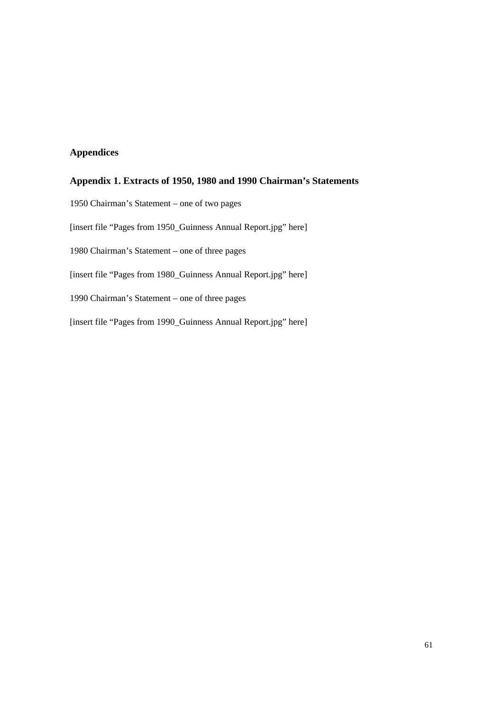#### **Appendices**

#### **Appendix 1. Extracts of 1950, 1980 and 1990 Chairman's Statements**

1950 Chairman's Statement – one of two pages [insert file "Pages from 1950\_Guinness Annual Report.jpg" here] 1980 Chairman's Statement – one of three pages [insert file "Pages from 1980\_Guinness Annual Report.jpg" here] 1990 Chairman's Statement – one of three pages [insert file "Pages from 1990\_Guinness Annual Report.jpg" here]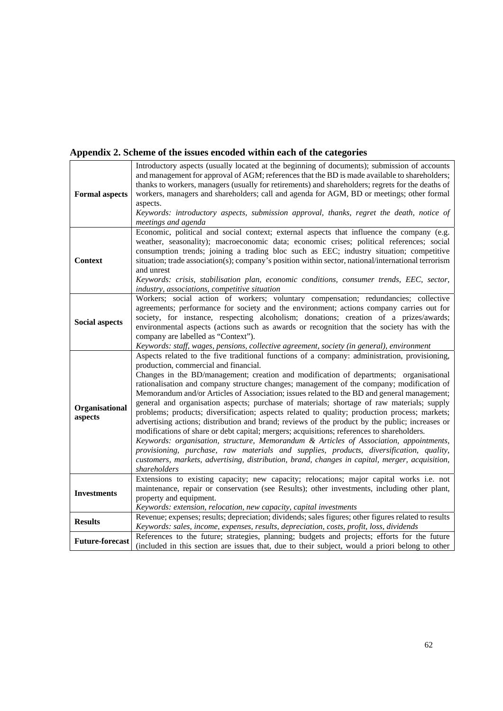## **Appendix 2. Scheme of the issues encoded within each of the categories**

| <b>Formal aspects</b>     | Introductory aspects (usually located at the beginning of documents); submission of accounts<br>and management for approval of AGM; references that the BD is made available to shareholders;<br>thanks to workers, managers (usually for retirements) and shareholders; regrets for the deaths of<br>workers, managers and shareholders; call and agenda for AGM, BD or meetings; other formal<br>aspects.<br>Keywords: introductory aspects, submission approval, thanks, regret the death, notice of<br>meetings and agenda                                                                                                                                                                                                                                                                                                                                                                                                                                                                                                                                                                                                      |
|---------------------------|-------------------------------------------------------------------------------------------------------------------------------------------------------------------------------------------------------------------------------------------------------------------------------------------------------------------------------------------------------------------------------------------------------------------------------------------------------------------------------------------------------------------------------------------------------------------------------------------------------------------------------------------------------------------------------------------------------------------------------------------------------------------------------------------------------------------------------------------------------------------------------------------------------------------------------------------------------------------------------------------------------------------------------------------------------------------------------------------------------------------------------------|
| <b>Context</b>            | Economic, political and social context; external aspects that influence the company (e.g.<br>weather, seasonality); macroeconomic data; economic crises; political references; social<br>consumption trends; joining a trading bloc such as EEC; industry situation; competitive<br>situation; trade association(s); company's position within sector, national/international terrorism<br>and unrest<br>Keywords: crisis, stabilisation plan, economic conditions, consumer trends, EEC, sector,<br>industry, associations, competitive situation                                                                                                                                                                                                                                                                                                                                                                                                                                                                                                                                                                                  |
| <b>Social aspects</b>     | Workers; social action of workers; voluntary compensation; redundancies; collective<br>agreements; performance for society and the environment; actions company carries out for<br>society, for instance, respecting alcoholism; donations; creation of a prizes/awards;<br>environmental aspects (actions such as awards or recognition that the society has with the<br>company are labelled as "Context").<br>Keywords: staff, wages, pensions, collective agreement, society (in general), environment                                                                                                                                                                                                                                                                                                                                                                                                                                                                                                                                                                                                                          |
| Organisational<br>aspects | Aspects related to the five traditional functions of a company: administration, provisioning,<br>production, commercial and financial.<br>Changes in the BD/management; creation and modification of departments; organisational<br>rationalisation and company structure changes; management of the company; modification of<br>Memorandum and/or Articles of Association; issues related to the BD and general management;<br>general and organisation aspects; purchase of materials; shortage of raw materials; supply<br>problems; products; diversification; aspects related to quality; production process; markets;<br>advertising actions; distribution and brand; reviews of the product by the public; increases or<br>modifications of share or debt capital; mergers; acquisitions; references to shareholders.<br>Keywords: organisation, structure, Memorandum & Articles of Association, appointments,<br>provisioning, purchase, raw materials and supplies, products, diversification, quality,<br>customers, markets, advertising, distribution, brand, changes in capital, merger, acquisition,<br>shareholders |
| <b>Investments</b>        | Extensions to existing capacity; new capacity; relocations; major capital works i.e. not<br>maintenance, repair or conservation (see Results); other investments, including other plant,<br>property and equipment.<br>Keywords: extension, relocation, new capacity, capital investments                                                                                                                                                                                                                                                                                                                                                                                                                                                                                                                                                                                                                                                                                                                                                                                                                                           |
| <b>Results</b>            | Revenue; expenses; results; depreciation; dividends; sales figures; other figures related to results<br>Keywords: sales, income, expenses, results, depreciation, costs, profit, loss, dividends                                                                                                                                                                                                                                                                                                                                                                                                                                                                                                                                                                                                                                                                                                                                                                                                                                                                                                                                    |
| <b>Future-forecast</b>    | References to the future; strategies, planning; budgets and projects; efforts for the future<br>(included in this section are issues that, due to their subject, would a priori belong to other                                                                                                                                                                                                                                                                                                                                                                                                                                                                                                                                                                                                                                                                                                                                                                                                                                                                                                                                     |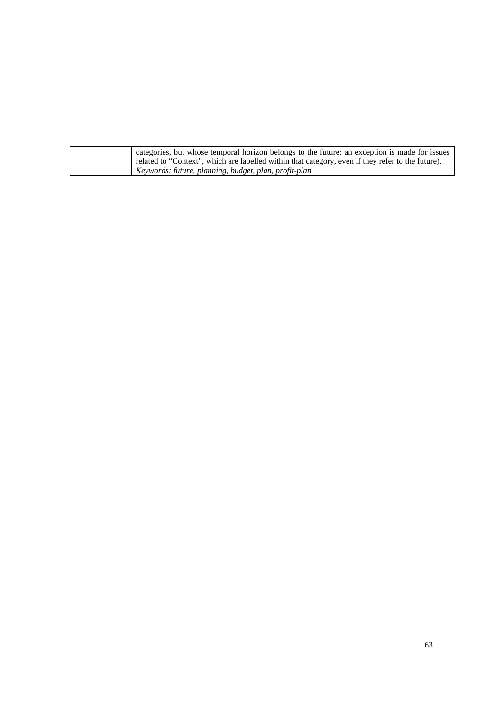| categories, but whose temporal horizon belongs to the future; an exception is made for issues     |
|---------------------------------------------------------------------------------------------------|
| related to "Context", which are labelled within that category, even if they refer to the future). |
| Keywords: future, planning, budget, plan, profit-plan                                             |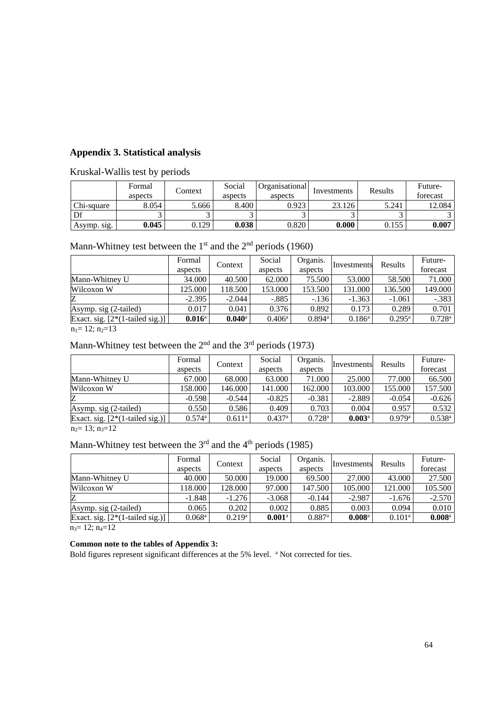#### **Appendix 3. Statistical analysis**

Kruskal-Wallis test by periods

|             | Formal<br>aspects | Context | Social<br>aspects | Organisational<br>aspects | Investments | Results | Future-<br>forecast |
|-------------|-------------------|---------|-------------------|---------------------------|-------------|---------|---------------------|
| Chi-square  | 8.054             | 5.666   | 8.400             | 0.923                     | 23.126      | 5.241   | 12.084              |
| Df          |                   |         |                   |                           |             |         |                     |
| Asymp. sig. | 0.045             | 0.129   | 0.038             | 0.820                     | 0.000       | 0.155   | 0.007               |

| Mann-Whitney test between the $1st$ and the $2nd$ periods (1960) |  |  |
|------------------------------------------------------------------|--|--|
|                                                                  |  |  |

|                                   | Formal<br>aspects | Context              | Social<br>aspects | Organis.<br>aspects  | Investments     | Results         | Future-<br>forecast  |
|-----------------------------------|-------------------|----------------------|-------------------|----------------------|-----------------|-----------------|----------------------|
| Mann-Whitney U                    | 34.000            | 40.500               | 62.000            | 75.500               | 53.000          | 58.500          | 71.000               |
| Wilcoxon W                        | 125.000           | 118.500              | 153.000           | 153.500              | 131.000         | 136.500         | 149.000              |
| Z                                 | $-2.395$          | $-2.044$             | $-.885$           | $-.136$              | $-1.363$        | $-1.061$        | $-.383$              |
| Asymp. sig (2-tailed)             | 0.017             | 0.041                | 0.376             | 0.892                | 0.173           | 0.289           | 0.701                |
| Exact. sig. $[2*(1-tailed sig.)]$ | $0.016^{\rm a}$   | $0.040$ <sup>a</sup> | $0.406^{\rm a}$   | $0.894$ <sup>a</sup> | $0.186^{\rm a}$ | $0.295^{\rm a}$ | $0.728$ <sup>a</sup> |

 $n_1= 12; n_2=13$ 

## Mann-Whitney test between the  $2<sup>nd</sup>$  and the  $3<sup>rd</sup>$  periods (1973)

|                                   | Formal<br>aspects    | Context         | Social<br>aspects    | Organis.<br>aspects  | Investments          | Results  | Future-<br>forecast |
|-----------------------------------|----------------------|-----------------|----------------------|----------------------|----------------------|----------|---------------------|
| Mann-Whitney U                    | 67.000               | 68.000          | 63.000               | 71.000 <sub>1</sub>  | 25,000               | 77.000   | 66.500              |
| Wilcoxon W                        | 158.000              | 146.000         | 141.000              | 162.000              | 103.000              | 155.000  | 157.500             |
| Z                                 | $-0.598$             | $-0.544$        | $-0.825$             | $-0.381$             | $-2.889$             | $-0.054$ | $-0.626$            |
| Asymp. sig (2-tailed)             | 0.550                | 0.586           | 0.409                | 0.703                | 0.004                | 0.957    | 0.532               |
| Exact. sig. $[2*(1-tailed sig.)]$ | $0.574$ <sup>a</sup> | $0.611^{\rm a}$ | $0.437$ <sup>a</sup> | $0.728$ <sup>a</sup> | $0.003$ <sup>a</sup> | 0.979a   | $0.538^{a}$         |
| 12.11                             |                      |                 |                      |                      |                      |          |                     |

 $n_2= 13; n_3=12$ 

## Mann-Whitney test between the  $3<sup>rd</sup>$  and the  $4<sup>th</sup>$  periods (1985)

|                                   | Formal               | Context              | Social               | Organis.             | <b>Investments</b>   | Results         | Future-              |
|-----------------------------------|----------------------|----------------------|----------------------|----------------------|----------------------|-----------------|----------------------|
|                                   | aspects              |                      | aspects              | aspects              |                      |                 | forecast             |
| Mann-Whitney U                    | 40.000               | 50.000               | 19.000               | 69.500               | 27.000               | 43.000          | 27.500               |
| Wilcoxon W                        | 118.000              | 128.000              | 97.000               | 147.500              | 105.000              | 121.000         | 105.500              |
| Z                                 | $-1.848$             | $-1.276$             | $-3.068$             | $-0.144$             | $-2.987$             | $-1.676$        | $-2.570$             |
| Asymp. sig (2-tailed)             | 0.065                | 0.202                | 0.002                | 0.885                | 0.003                | 0.094           | 0.010                |
| Exact. sig. $[2*(1-tailed sig.)]$ | $0.068$ <sup>a</sup> | $0.219$ <sup>a</sup> | $0.001$ <sup>a</sup> | $0.887$ <sup>a</sup> | $0.008$ <sup>a</sup> | $0.101^{\rm a}$ | $0.008$ <sup>a</sup> |
| $\sim$ 10 $\sim$ 10               |                      |                      |                      |                      |                      |                 |                      |

 $n_3=12; n_4=12$ 

#### **Common note to the tables of Appendix 3:**

Bold figures represent significant differences at the 5% level. <sup>a</sup> Not corrected for ties.